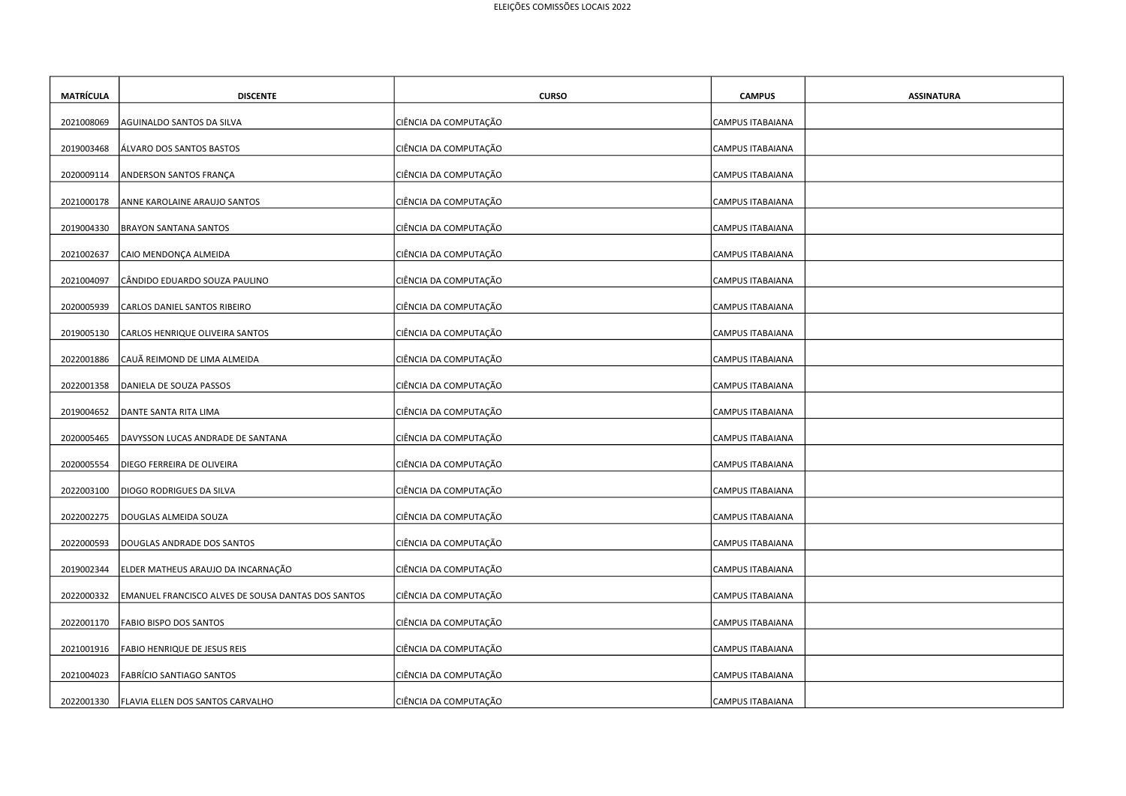| <b>MATRÍCULA</b> | <b>DISCENTE</b>                                    | <b>CURSO</b>          | <b>CAMPUS</b>           | <b>ASSINATURA</b> |
|------------------|----------------------------------------------------|-----------------------|-------------------------|-------------------|
| 2021008069       | AGUINALDO SANTOS DA SILVA                          | CIÊNCIA DA COMPUTAÇÃO | CAMPUS ITABAIANA        |                   |
| 2019003468       | ÁLVARO DOS SANTOS BASTOS                           | CIÊNCIA DA COMPUTAÇÃO | CAMPUS ITABAIANA        |                   |
| 2020009114       | ANDERSON SANTOS FRANÇA                             | CIÊNCIA DA COMPUTAÇÃO | CAMPUS ITABAIANA        |                   |
|                  |                                                    |                       |                         |                   |
| 2021000178       | ANNE KAROLAINE ARAUJO SANTOS                       | CIÊNCIA DA COMPUTAÇÃO | CAMPUS ITABAIANA        |                   |
| 2019004330       | <b>BRAYON SANTANA SANTOS</b>                       | CIÊNCIA DA COMPUTAÇÃO | CAMPUS ITABAIANA        |                   |
| 2021002637       | CAIO MENDONÇA ALMEIDA                              | CIÊNCIA DA COMPUTAÇÃO | CAMPUS ITABAIANA        |                   |
| 2021004097       | CÂNDIDO EDUARDO SOUZA PAULINO                      | CIÊNCIA DA COMPUTAÇÃO | <b>CAMPUS ITABAIANA</b> |                   |
| 2020005939       | CARLOS DANIEL SANTOS RIBEIRO                       | CIÊNCIA DA COMPUTAÇÃO | CAMPUS ITABAIANA        |                   |
| 2019005130       | CARLOS HENRIQUE OLIVEIRA SANTOS                    | CIÊNCIA DA COMPUTAÇÃO | CAMPUS ITABAIANA        |                   |
| 2022001886       | CAUÃ REIMOND DE LIMA ALMEIDA                       | CIÊNCIA DA COMPUTAÇÃO | CAMPUS ITABAIANA        |                   |
| 2022001358       | DANIELA DE SOUZA PASSOS                            | CIÊNCIA DA COMPUTAÇÃO | CAMPUS ITABAIANA        |                   |
| 2019004652       | DANTE SANTA RITA LIMA                              | CIÊNCIA DA COMPUTAÇÃO | CAMPUS ITABAIANA        |                   |
| 2020005465       | DAVYSSON LUCAS ANDRADE DE SANTANA                  | CIÊNCIA DA COMPUTAÇÃO | CAMPUS ITABAIANA        |                   |
| 2020005554       | DIEGO FERREIRA DE OLIVEIRA                         | CIÊNCIA DA COMPUTAÇÃO | <b>CAMPUS ITABAIANA</b> |                   |
| 2022003100       | DIOGO RODRIGUES DA SILVA                           | CIÊNCIA DA COMPUTAÇÃO | CAMPUS ITABAIANA        |                   |
| 2022002275       | DOUGLAS ALMEIDA SOUZA                              | CIÊNCIA DA COMPUTAÇÃO | CAMPUS ITABAIANA        |                   |
| 2022000593       | DOUGLAS ANDRADE DOS SANTOS                         | CIÊNCIA DA COMPUTAÇÃO | CAMPUS ITABAIANA        |                   |
| 2019002344       | ELDER MATHEUS ARAUJO DA INCARNAÇÃO                 | CIÊNCIA DA COMPUTAÇÃO | CAMPUS ITABAIANA        |                   |
| 2022000332       | EMANUEL FRANCISCO ALVES DE SOUSA DANTAS DOS SANTOS | CIÊNCIA DA COMPUTAÇÃO | CAMPUS ITABAIANA        |                   |
| 2022001170       | FABIO BISPO DOS SANTOS                             | CIÊNCIA DA COMPUTAÇÃO | CAMPUS ITABAIANA        |                   |
|                  |                                                    |                       |                         |                   |
| 2021001916       | FABIO HENRIQUE DE JESUS REIS                       | CIÊNCIA DA COMPUTAÇÃO | CAMPUS ITABAIANA        |                   |
| 2021004023       | FABRÍCIO SANTIAGO SANTOS                           | CIÊNCIA DA COMPUTAÇÃO | <b>CAMPUS ITABAIANA</b> |                   |
| 2022001330       | FLAVIA ELLEN DOS SANTOS CARVALHO                   | CIÊNCIA DA COMPUTAÇÃO | CAMPUS ITABAIANA        |                   |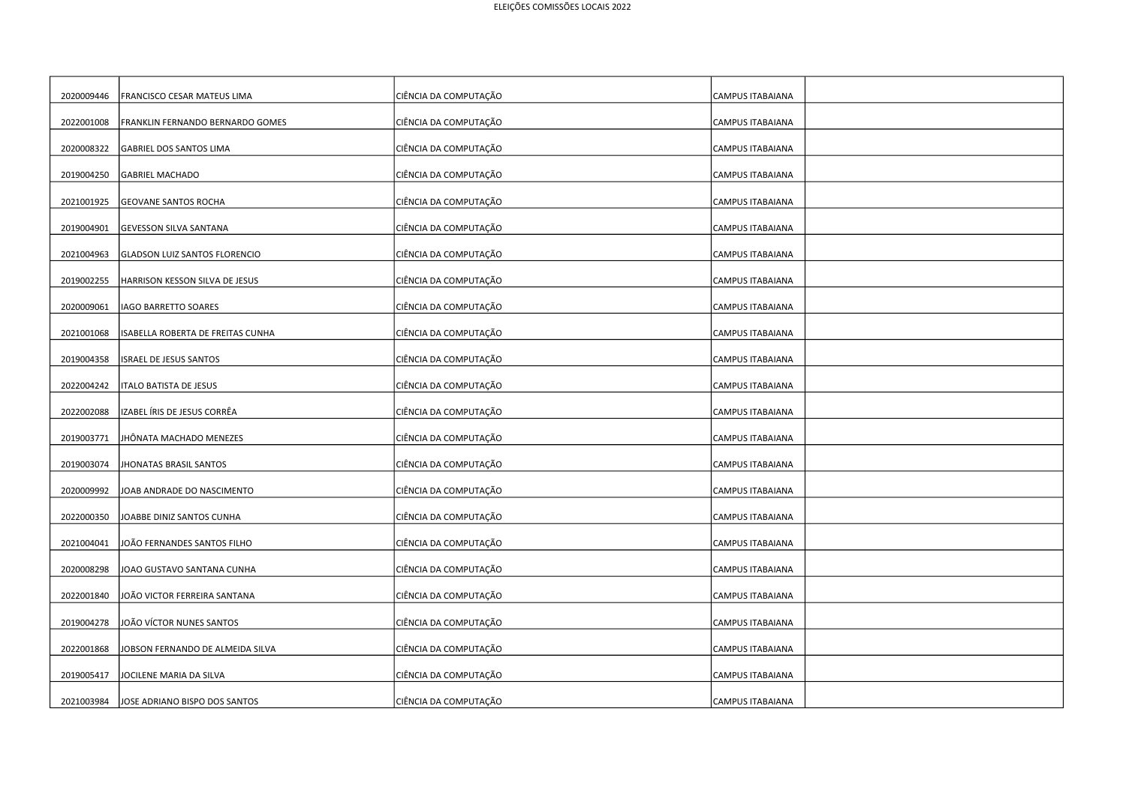| 2020009446 | FRANCISCO CESAR MATEUS LIMA          | CIÊNCIA DA COMPUTAÇÃO | <b>CAMPUS ITABAIANA</b> |
|------------|--------------------------------------|-----------------------|-------------------------|
| 2022001008 | FRANKLIN FERNANDO BERNARDO GOMES     | CIÊNCIA DA COMPUTAÇÃO | CAMPUS ITABAIANA        |
| 2020008322 | GABRIEL DOS SANTOS LIMA              | CIÊNCIA DA COMPUTAÇÃO | CAMPUS ITABAIANA        |
| 2019004250 | <b>GABRIEL MACHADO</b>               | CIÊNCIA DA COMPUTAÇÃO | <b>CAMPUS ITABAIANA</b> |
| 2021001925 | <b>GEOVANE SANTOS ROCHA</b>          | CIÊNCIA DA COMPUTAÇÃO | CAMPUS ITABAIANA        |
| 2019004901 | <b>GEVESSON SILVA SANTANA</b>        | CIÊNCIA DA COMPUTAÇÃO | <b>CAMPUS ITABAIANA</b> |
| 2021004963 | <b>GLADSON LUIZ SANTOS FLORENCIO</b> | CIÊNCIA DA COMPUTAÇÃO | CAMPUS ITABAIANA        |
| 2019002255 | HARRISON KESSON SILVA DE JESUS       | CIÊNCIA DA COMPUTAÇÃO | CAMPUS ITABAIANA        |
| 2020009061 | IAGO BARRETTO SOARES                 | CIÊNCIA DA COMPUTAÇÃO | <b>CAMPUS ITABAIANA</b> |
| 2021001068 | ISABELLA ROBERTA DE FREITAS CUNHA    | CIÊNCIA DA COMPUTAÇÃO | CAMPUS ITABAIANA        |
| 2019004358 | ISRAEL DE JESUS SANTOS               | CIÊNCIA DA COMPUTAÇÃO | CAMPUS ITABAIANA        |
| 2022004242 | <b>ITALO BATISTA DE JESUS</b>        | CIÊNCIA DA COMPUTAÇÃO | CAMPUS ITABAIANA        |
| 2022002088 | IZABEL ÍRIS DE JESUS CORRÊA          | CIÊNCIA DA COMPUTAÇÃO | <b>CAMPUS ITABAIANA</b> |
| 2019003771 | JHÔNATA MACHADO MENEZES              | CIÊNCIA DA COMPUTAÇÃO | CAMPUS ITABAIANA        |
| 2019003074 | JHONATAS BRASIL SANTOS               | CIÊNCIA DA COMPUTAÇÃO | <b>CAMPUS ITABAIANA</b> |
| 2020009992 | JOAB ANDRADE DO NASCIMENTO           | CIÊNCIA DA COMPUTAÇÃO | CAMPUS ITABAIANA        |
| 2022000350 | JOABBE DINIZ SANTOS CUNHA            | CIÊNCIA DA COMPUTAÇÃO | CAMPUS ITABAIANA        |
| 2021004041 | JOÃO FERNANDES SANTOS FILHO          | CIÊNCIA DA COMPUTAÇÃO | CAMPUS ITABAIANA        |
|            |                                      |                       |                         |
| 2020008298 | JOAO GUSTAVO SANTANA CUNHA           | CIÊNCIA DA COMPUTAÇÃO | CAMPUS ITABAIANA        |
| 2022001840 | JOÃO VICTOR FERREIRA SANTANA         | CIÊNCIA DA COMPUTAÇÃO | CAMPUS ITABAIANA        |
| 2019004278 | JOÃO VÍCTOR NUNES SANTOS             | CIÊNCIA DA COMPUTAÇÃO | CAMPUS ITABAIANA        |
| 2022001868 | JOBSON FERNANDO DE ALMEIDA SILVA     | CIÊNCIA DA COMPUTAÇÃO | CAMPUS ITABAIANA        |
| 2019005417 | JOCILENE MARIA DA SILVA              | CIÊNCIA DA COMPUTAÇÃO | CAMPUS ITABAIANA        |
| 2021003984 | JOSE ADRIANO BISPO DOS SANTOS        | CIÊNCIA DA COMPUTAÇÃO | <b>CAMPUS ITABAIANA</b> |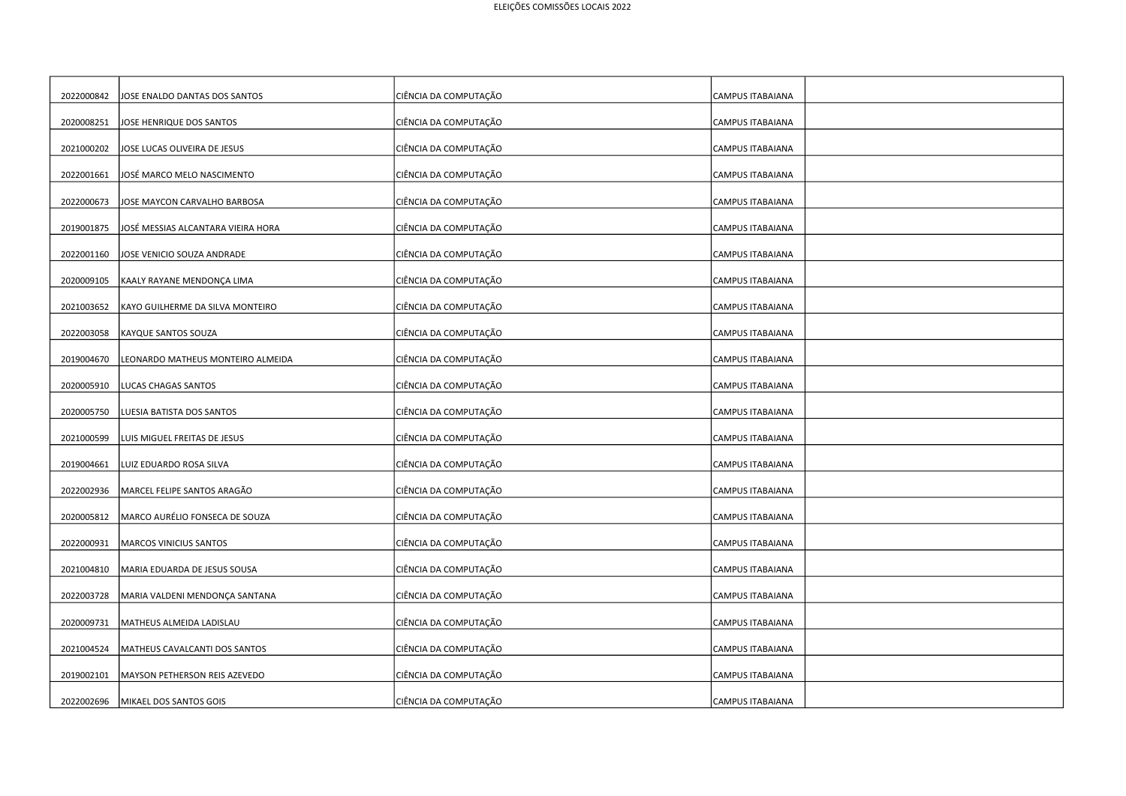| 2022000842 | JOSE ENALDO DANTAS DOS SANTOS      | CIÊNCIA DA COMPUTAÇÃO | <b>CAMPUS ITABAIANA</b> |
|------------|------------------------------------|-----------------------|-------------------------|
| 2020008251 | JOSE HENRIQUE DOS SANTOS           | CIÊNCIA DA COMPUTAÇÃO | CAMPUS ITABAIANA        |
| 2021000202 | JOSE LUCAS OLIVEIRA DE JESUS       | CIÊNCIA DA COMPUTAÇÃO | CAMPUS ITABAIANA        |
| 2022001661 | JOSÉ MARCO MELO NASCIMENTO         | CIÊNCIA DA COMPUTAÇÃO | CAMPUS ITABAIANA        |
| 2022000673 | JOSE MAYCON CARVALHO BARBOSA       | CIÊNCIA DA COMPUTAÇÃO | CAMPUS ITABAIANA        |
| 2019001875 | JOSÉ MESSIAS ALCANTARA VIEIRA HORA | CIÊNCIA DA COMPUTAÇÃO | <b>CAMPUS ITABAIANA</b> |
| 2022001160 | JOSE VENICIO SOUZA ANDRADE         | CIÊNCIA DA COMPUTAÇÃO | CAMPUS ITABAIANA        |
| 2020009105 | KAALY RAYANE MENDONÇA LIMA         | CIÊNCIA DA COMPUTAÇÃO | CAMPUS ITABAIANA        |
| 2021003652 | KAYO GUILHERME DA SILVA MONTEIRO   | CIÊNCIA DA COMPUTAÇÃO | CAMPUS ITABAIANA        |
| 2022003058 | KAYQUE SANTOS SOUZA                | CIÊNCIA DA COMPUTAÇÃO | CAMPUS ITABAIANA        |
| 2019004670 | LEONARDO MATHEUS MONTEIRO ALMEIDA  | CIÊNCIA DA COMPUTAÇÃO | CAMPUS ITABAIANA        |
| 2020005910 | LUCAS CHAGAS SANTOS                | CIÊNCIA DA COMPUTAÇÃO | CAMPUS ITABAIANA        |
| 2020005750 | LUESIA BATISTA DOS SANTOS          | CIÊNCIA DA COMPUTAÇÃO | CAMPUS ITABAIANA        |
| 2021000599 | LUIS MIGUEL FREITAS DE JESUS       | CIÊNCIA DA COMPUTAÇÃO | CAMPUS ITABAIANA        |
|            |                                    |                       |                         |
| 2019004661 | LUIZ EDUARDO ROSA SILVA            | CIÊNCIA DA COMPUTAÇÃO | CAMPUS ITABAIANA        |
| 2022002936 | MARCEL FELIPE SANTOS ARAGÃO        | CIÊNCIA DA COMPUTAÇÃO | CAMPUS ITABAIANA        |
| 2020005812 | MARCO AURÉLIO FONSECA DE SOUZA     | CIÊNCIA DA COMPUTAÇÃO | CAMPUS ITABAIANA        |
| 2022000931 | MARCOS VINICIUS SANTOS             | CIÊNCIA DA COMPUTAÇÃO | CAMPUS ITABAIANA        |
| 2021004810 | MARIA EDUARDA DE JESUS SOUSA       | CIÊNCIA DA COMPUTAÇÃO | CAMPUS ITABAIANA        |
| 2022003728 | MARIA VALDENI MENDONÇA SANTANA     | CIÊNCIA DA COMPUTAÇÃO | CAMPUS ITABAIANA        |
| 2020009731 | MATHEUS ALMEIDA LADISLAU           | CIÊNCIA DA COMPUTAÇÃO | CAMPUS ITABAIANA        |
| 2021004524 | MATHEUS CAVALCANTI DOS SANTOS      | CIÊNCIA DA COMPUTAÇÃO | CAMPUS ITABAIANA        |
| 2019002101 | MAYSON PETHERSON REIS AZEVEDO      | CIÊNCIA DA COMPUTAÇÃO | CAMPUS ITABAIANA        |
| 2022002696 | MIKAEL DOS SANTOS GOIS             | CIÊNCIA DA COMPUTAÇÃO | CAMPUS ITABAIANA        |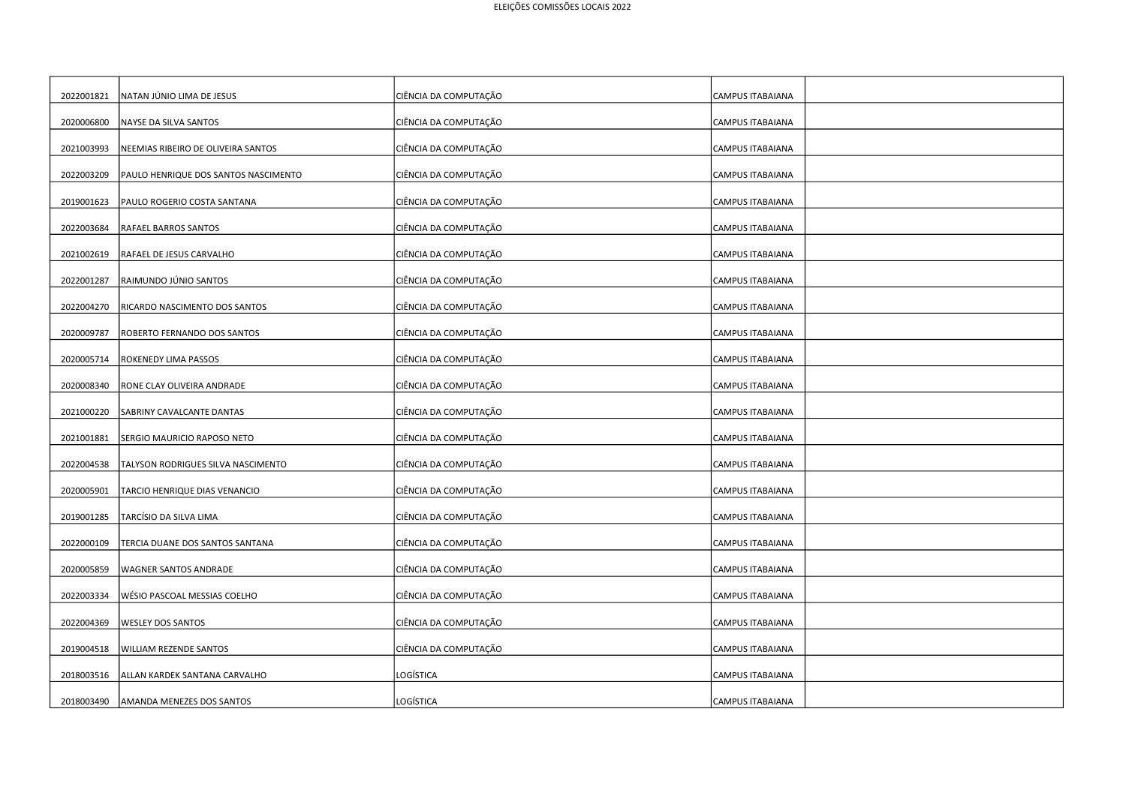| 2022001821 | NATAN JÚNIO LIMA DE JESUS            | CIÊNCIA DA COMPUTAÇÃO | <b>CAMPUS ITABAIANA</b> |
|------------|--------------------------------------|-----------------------|-------------------------|
| 2020006800 | NAYSE DA SILVA SANTOS                | CIÊNCIA DA COMPUTAÇÃO | <b>CAMPUS ITABAIANA</b> |
| 2021003993 | NEEMIAS RIBEIRO DE OLIVEIRA SANTOS   | CIÊNCIA DA COMPUTAÇÃO | CAMPUS ITABAIANA        |
| 2022003209 | PAULO HENRIQUE DOS SANTOS NASCIMENTO | CIÊNCIA DA COMPUTAÇÃO | <b>CAMPUS ITABAIANA</b> |
| 2019001623 | PAULO ROGERIO COSTA SANTANA          | CIÊNCIA DA COMPUTAÇÃO | <b>CAMPUS ITABAIANA</b> |
| 2022003684 | RAFAEL BARROS SANTOS                 | CIÊNCIA DA COMPUTAÇÃO | <b>CAMPUS ITABAIANA</b> |
|            |                                      |                       |                         |
| 2021002619 | RAFAEL DE JESUS CARVALHO             | CIÊNCIA DA COMPUTAÇÃO | <b>CAMPUS ITABAIANA</b> |
| 2022001287 | RAIMUNDO JÚNIO SANTOS                | CIÊNCIA DA COMPUTAÇÃO | <b>CAMPUS ITABAIANA</b> |
| 2022004270 | RICARDO NASCIMENTO DOS SANTOS        | CIÊNCIA DA COMPUTAÇÃO | <b>CAMPUS ITABAIANA</b> |
| 2020009787 | ROBERTO FERNANDO DOS SANTOS          | CIÊNCIA DA COMPUTAÇÃO | <b>CAMPUS ITABAIANA</b> |
| 2020005714 | <b>ROKENEDY LIMA PASSOS</b>          | CIÊNCIA DA COMPUTAÇÃO | <b>CAMPUS ITABAIANA</b> |
| 2020008340 | RONE CLAY OLIVEIRA ANDRADE           | CIÊNCIA DA COMPUTAÇÃO | CAMPUS ITABAIANA        |
| 2021000220 | SABRINY CAVALCANTE DANTAS            | CIÊNCIA DA COMPUTAÇÃO | <b>CAMPUS ITABAIANA</b> |
| 2021001881 | SERGIO MAURICIO RAPOSO NETO          | CIÊNCIA DA COMPUTAÇÃO | <b>CAMPUS ITABAIANA</b> |
| 2022004538 | TALYSON RODRIGUES SILVA NASCIMENTO   | CIÊNCIA DA COMPUTAÇÃO | <b>CAMPUS ITABAIANA</b> |
| 2020005901 | TARCIO HENRIQUE DIAS VENANCIO        | CIÊNCIA DA COMPUTAÇÃO | <b>CAMPUS ITABAIANA</b> |
| 2019001285 | TARCÍSIO DA SILVA LIMA               | CIÊNCIA DA COMPUTAÇÃO | <b>CAMPUS ITABAIANA</b> |
| 2022000109 | TERCIA DUANE DOS SANTOS SANTANA      | CIÊNCIA DA COMPUTAÇÃO | <b>CAMPUS ITABAIANA</b> |
| 2020005859 | WAGNER SANTOS ANDRADE                | CIÊNCIA DA COMPUTAÇÃO | <b>CAMPUS ITABAIANA</b> |
| 2022003334 | WÉSIO PASCOAL MESSIAS COELHO         | CIÊNCIA DA COMPUTAÇÃO | <b>CAMPUS ITABAIANA</b> |
| 2022004369 | <b>WESLEY DOS SANTOS</b>             | CIÊNCIA DA COMPUTAÇÃO | <b>CAMPUS ITABAIANA</b> |
| 2019004518 | <b>WILLIAM REZENDE SANTOS</b>        | CIÊNCIA DA COMPUTAÇÃO | <b>CAMPUS ITABAIANA</b> |
| 2018003516 | ALLAN KARDEK SANTANA CARVALHO        | LOGÍSTICA             | <b>CAMPUS ITABAIANA</b> |
| 2018003490 | AMANDA MENEZES DOS SANTOS            | LOGÍSTICA             | CAMPUS ITABAIANA        |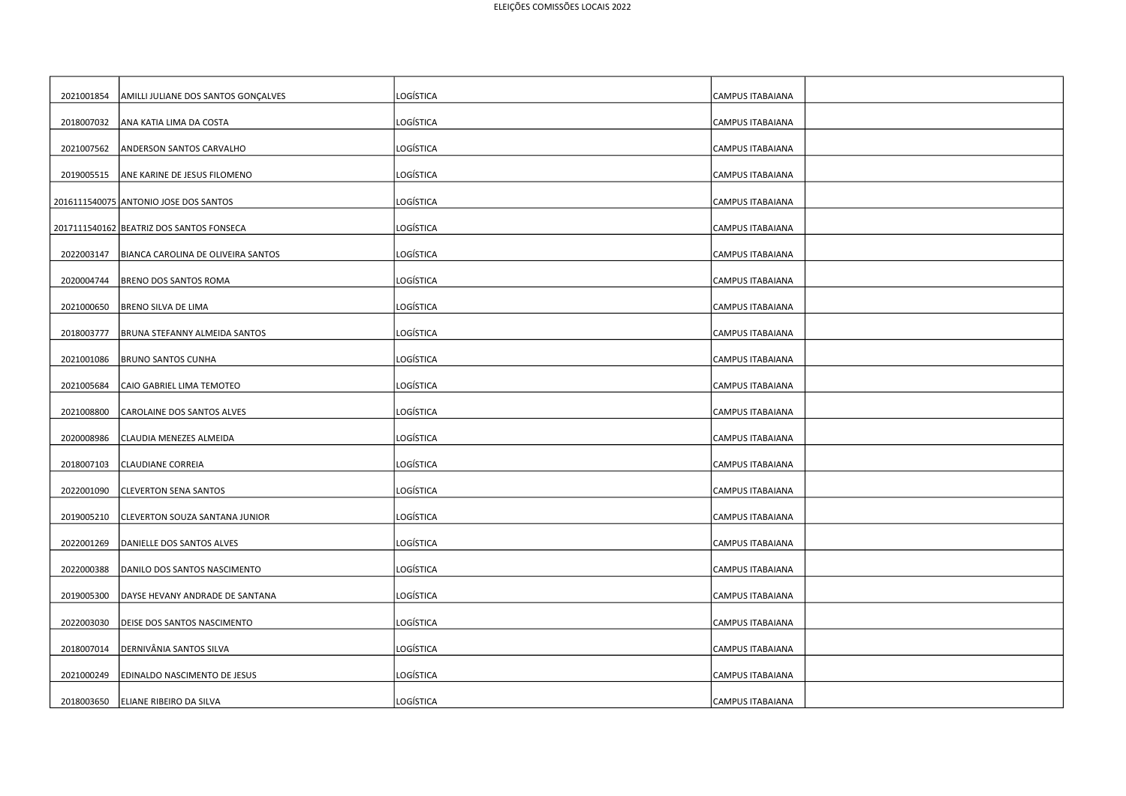| 2021001854 | AMILLI JULIANE DOS SANTOS GONÇALVES      | LOGÍSTICA        | CAMPUS ITABAIANA        |
|------------|------------------------------------------|------------------|-------------------------|
| 2018007032 | ANA KATIA LIMA DA COSTA                  | LOGÍSTICA        | CAMPUS ITABAIANA        |
| 2021007562 | ANDERSON SANTOS CARVALHO                 | LOGÍSTICA        | CAMPUS ITABAIANA        |
| 2019005515 | ANE KARINE DE JESUS FILOMENO             | <b>LOGÍSTICA</b> | <b>CAMPUS ITABAIANA</b> |
|            | 2016111540075 ANTONIO JOSE DOS SANTOS    | LOGÍSTICA        | CAMPUS ITABAIANA        |
|            | 2017111540162 BEATRIZ DOS SANTOS FONSECA | LOGÍSTICA        | <b>CAMPUS ITABAIANA</b> |
| 2022003147 | BIANCA CAROLINA DE OLIVEIRA SANTOS       | LOGÍSTICA        | CAMPUS ITABAIANA        |
| 2020004744 | <b>BRENO DOS SANTOS ROMA</b>             | LOGÍSTICA        | CAMPUS ITABAIANA        |
| 2021000650 | BRENO SILVA DE LIMA                      | LOGÍSTICA        | <b>CAMPUS ITABAIANA</b> |
| 2018003777 | BRUNA STEFANNY ALMEIDA SANTOS            | LOGÍSTICA        | CAMPUS ITABAIANA        |
| 2021001086 |                                          | LOGÍSTICA        |                         |
| 2021005684 | <b>BRUNO SANTOS CUNHA</b>                | <b>LOGÍSTICA</b> | CAMPUS ITABAIANA        |
|            | CAIO GABRIEL LIMA TEMOTEO                |                  | CAMPUS ITABAIANA        |
| 2021008800 | CAROLAINE DOS SANTOS ALVES               | LOGÍSTICA        | <b>CAMPUS ITABAIANA</b> |
| 2020008986 | CLAUDIA MENEZES ALMEIDA                  | LOGÍSTICA        | CAMPUS ITABAIANA        |
| 2018007103 | <b>CLAUDIANE CORREIA</b>                 | LOGÍSTICA        | CAMPUS ITABAIANA        |
| 2022001090 | <b>CLEVERTON SENA SANTOS</b>             | LOGÍSTICA        | CAMPUS ITABAIANA        |
| 2019005210 | CLEVERTON SOUZA SANTANA JUNIOR           | LOGÍSTICA        | CAMPUS ITABAIANA        |
| 2022001269 | DANIELLE DOS SANTOS ALVES                | LOGÍSTICA        | <b>CAMPUS ITABAIANA</b> |
| 2022000388 | DANILO DOS SANTOS NASCIMENTO             | <b>LOGÍSTICA</b> | CAMPUS ITABAIANA        |
| 2019005300 | DAYSE HEVANY ANDRADE DE SANTANA          | LOGÍSTICA        | CAMPUS ITABAIANA        |
| 2022003030 | DEISE DOS SANTOS NASCIMENTO              | <b>LOGÍSTICA</b> | CAMPUS ITABAIANA        |
| 2018007014 | DERNIVÂNIA SANTOS SILVA                  | LOGÍSTICA        | <b>CAMPUS ITABAIANA</b> |
| 2021000249 | EDINALDO NASCIMENTO DE JESUS             | LOGÍSTICA        | <b>CAMPUS ITABAIANA</b> |
| 2018003650 | ELIANE RIBEIRO DA SILVA                  | LOGÍSTICA        | <b>CAMPUS ITABAIANA</b> |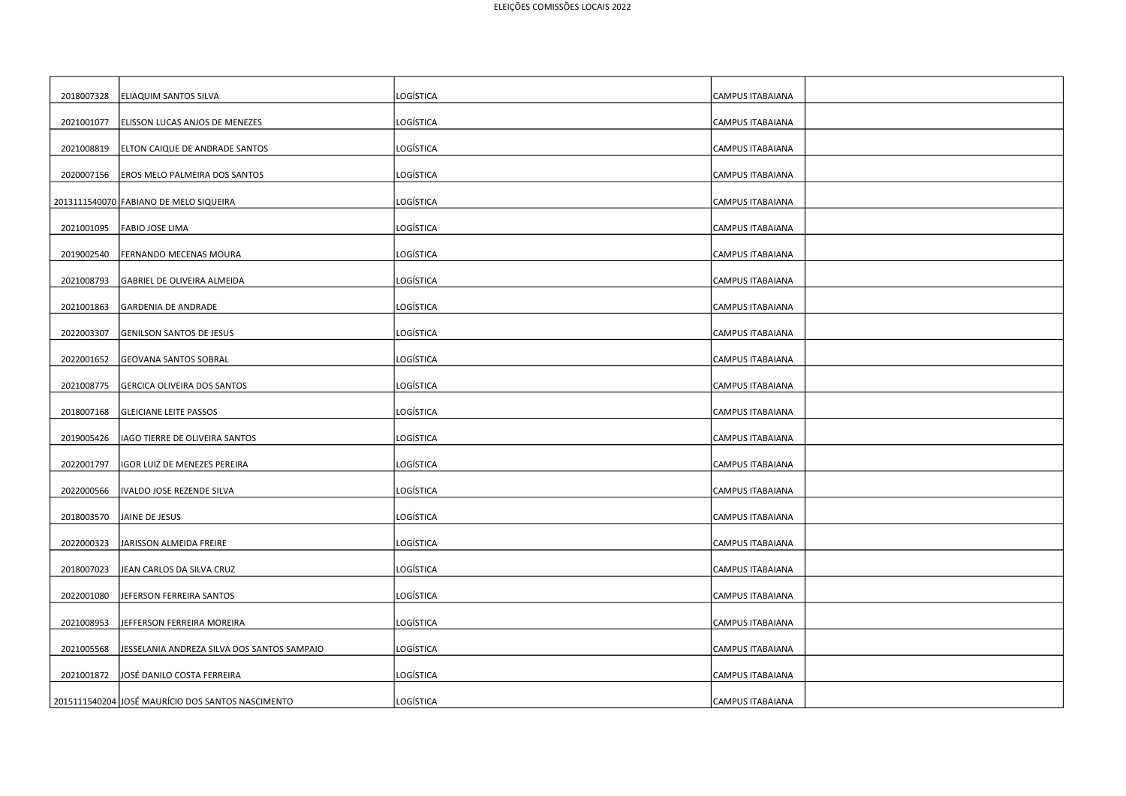| 2018007328 | <b>ELIAQUIM SANTOS SILVA</b>                      | LOGÍSTICA        | CAMPUS ITABAIANA        |
|------------|---------------------------------------------------|------------------|-------------------------|
| 2021001077 | ELISSON LUCAS ANJOS DE MENEZES                    | LOGÍSTICA        | CAMPUS ITABAIANA        |
| 2021008819 | ELTON CAIQUE DE ANDRADE SANTOS                    | LOGÍSTICA        | CAMPUS ITABAIANA        |
| 2020007156 | <b>EROS MELO PALMEIRA DOS SANTOS</b>              | LOGÍSTICA        | <b>CAMPUS ITABAIANA</b> |
|            | 2013111540070 FABIANO DE MELO SIQUEIRA            | LOGÍSTICA        | CAMPUS ITABAIANA        |
| 2021001095 | <b>FABIO JOSE LIMA</b>                            | LOGÍSTICA        | CAMPUS ITABAIANA        |
| 2019002540 | <b>FERNANDO MECENAS MOURA</b>                     | LOGÍSTICA        | CAMPUS ITABAIANA        |
| 2021008793 | GABRIEL DE OLIVEIRA ALMEIDA                       | LOGÍSTICA        | CAMPUS ITABAIANA        |
| 2021001863 | <b>GARDENIA DE ANDRADE</b>                        | LOGÍSTICA        | CAMPUS ITABAIANA        |
| 2022003307 | <b>GENILSON SANTOS DE JESUS</b>                   | LOGÍSTICA        | CAMPUS ITABAIANA        |
| 2022001652 | <b>GEOVANA SANTOS SOBRAL</b>                      | LOGÍSTICA        | CAMPUS ITABAIANA        |
| 2021008775 | <b>GERCICA OLIVEIRA DOS SANTOS</b>                | LOGÍSTICA        | CAMPUS ITABAIANA        |
| 2018007168 | <b>GLEICIANE LEITE PASSOS</b>                     | LOGÍSTICA        | CAMPUS ITABAIANA        |
| 2019005426 | IAGO TIERRE DE OLIVEIRA SANTOS                    | LOGÍSTICA        | CAMPUS ITABAIANA        |
| 2022001797 | IGOR LUIZ DE MENEZES PEREIRA                      | LOGÍSTICA        | CAMPUS ITABAIANA        |
| 2022000566 | IVALDO JOSE REZENDE SILVA                         | LOGÍSTICA        | CAMPUS ITABAIANA        |
| 2018003570 | JAINE DE JESUS                                    | LOGÍSTICA        | <b>CAMPUS ITABAIANA</b> |
| 2022000323 | JARISSON ALMEIDA FREIRE                           | LOGÍSTICA        | CAMPUS ITABAIANA        |
| 2018007023 | JEAN CARLOS DA SILVA CRUZ                         | LOGÍSTICA        | CAMPUS ITABAIANA        |
| 2022001080 | JEFERSON FERREIRA SANTOS                          | LOGÍSTICA        | CAMPUS ITABAIANA        |
| 2021008953 | JEFFERSON FERREIRA MOREIRA                        | <b>LOGÍSTICA</b> | CAMPUS ITABAIANA        |
| 2021005568 | JESSELANIA ANDREZA SILVA DOS SANTOS SAMPAIO       | LOGÍSTICA        | <b>CAMPUS ITABAIANA</b> |
| 2021001872 | JOSÉ DANILO COSTA FERREIRA                        | LOGÍSTICA        | CAMPUS ITABAIANA        |
|            | 2015111540204 JOSÉ MAURÍCIO DOS SANTOS NASCIMENTO | LOGÍSTICA        | CAMPUS ITABAIANA        |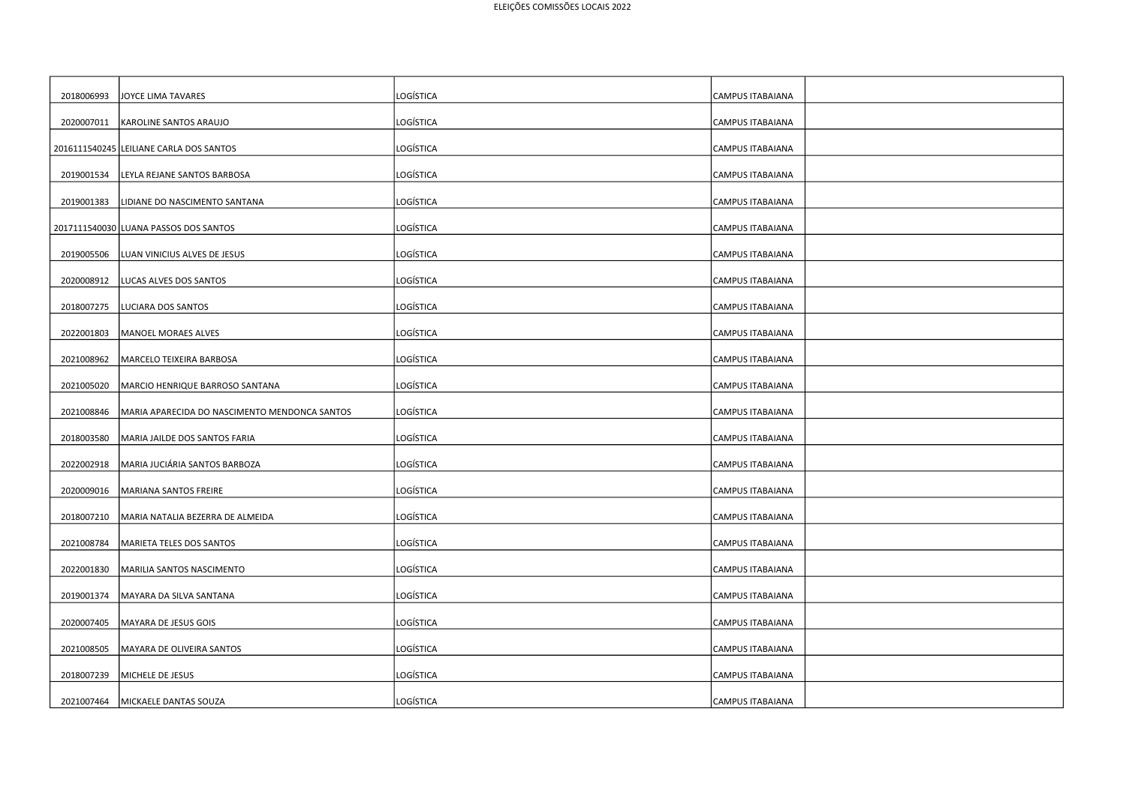| 2018006993 | JOYCE LIMA TAVARES                            | LOGÍSTICA        | CAMPUS ITABAIANA        |
|------------|-----------------------------------------------|------------------|-------------------------|
| 2020007011 | <b>KAROLINE SANTOS ARAUJO</b>                 | LOGÍSTICA        | CAMPUS ITABAIANA        |
|            | 2016111540245 LEILIANE CARLA DOS SANTOS       | LOGÍSTICA        | CAMPUS ITABAIANA        |
| 2019001534 | LEYLA REJANE SANTOS BARBOSA                   | LOGÍSTICA        | CAMPUS ITABAIANA        |
| 2019001383 | LIDIANE DO NASCIMENTO SANTANA                 | LOGÍSTICA        | CAMPUS ITABAIANA        |
|            | 2017111540030 LUANA PASSOS DOS SANTOS         | LOGÍSTICA        | CAMPUS ITABAIANA        |
| 2019005506 | LUAN VINICIUS ALVES DE JESUS                  | LOGÍSTICA        | CAMPUS ITABAIANA        |
| 2020008912 | LUCAS ALVES DOS SANTOS                        | LOGÍSTICA        | CAMPUS ITABAIANA        |
| 2018007275 | LUCIARA DOS SANTOS                            | LOGÍSTICA        | CAMPUS ITABAIANA        |
| 2022001803 | <b>MANOEL MORAES ALVES</b>                    | LOGÍSTICA        | CAMPUS ITABAIANA        |
| 2021008962 | MARCELO TEIXEIRA BARBOSA                      | LOGÍSTICA        | CAMPUS ITABAIANA        |
| 2021005020 | MARCIO HENRIQUE BARROSO SANTANA               | LOGÍSTICA        | CAMPUS ITABAIANA        |
| 2021008846 | MARIA APARECIDA DO NASCIMENTO MENDONCA SANTOS | LOGÍSTICA        | CAMPUS ITABAIANA        |
| 2018003580 | MARIA JAILDE DOS SANTOS FARIA                 | LOGÍSTICA        | CAMPUS ITABAIANA        |
| 2022002918 | MARIA JUCIÁRIA SANTOS BARBOZA                 | LOGÍSTICA        | CAMPUS ITABAIANA        |
| 2020009016 | MARIANA SANTOS FREIRE                         | LOGÍSTICA        | CAMPUS ITABAIANA        |
| 2018007210 | MARIA NATALIA BEZERRA DE ALMEIDA              | LOGÍSTICA        | <b>CAMPUS ITABAIANA</b> |
| 2021008784 | MARIETA TELES DOS SANTOS                      | LOGÍSTICA        | <b>CAMPUS ITABAIANA</b> |
| 2022001830 | MARILIA SANTOS NASCIMENTO                     | LOGÍSTICA        | CAMPUS ITABAIANA        |
| 2019001374 | MAYARA DA SILVA SANTANA                       | LOGÍSTICA        | CAMPUS ITABAIANA        |
| 2020007405 | MAYARA DE JESUS GOIS                          | <b>LOGÍSTICA</b> | <b>CAMPUS ITABAIANA</b> |
| 2021008505 | MAYARA DE OLIVEIRA SANTOS                     | LOGÍSTICA        | CAMPUS ITABAIANA        |
| 2018007239 | MICHELE DE JESUS                              | LOGÍSTICA        | CAMPUS ITABAIANA        |
| 2021007464 | MICKAELE DANTAS SOUZA                         | <b>LOGÍSTICA</b> | <b>CAMPUS ITABAIANA</b> |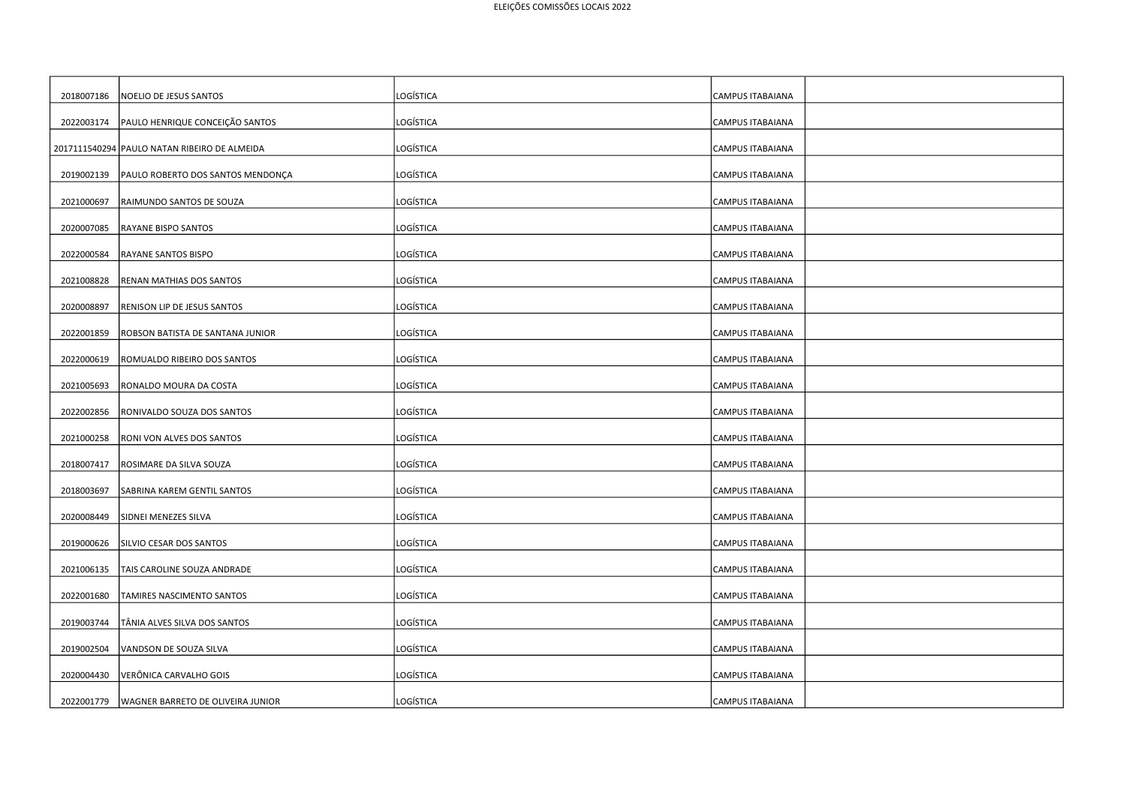| 2018007186 | NOELIO DE JESUS SANTOS                       | LOGÍSTICA        | CAMPUS ITABAIANA        |
|------------|----------------------------------------------|------------------|-------------------------|
| 2022003174 | PAULO HENRIQUE CONCEIÇÃO SANTOS              | LOGÍSTICA        | CAMPUS ITABAIANA        |
|            | 2017111540294 PAULO NATAN RIBEIRO DE ALMEIDA | LOGÍSTICA        | CAMPUS ITABAIANA        |
| 2019002139 | PAULO ROBERTO DOS SANTOS MENDONÇA            | <b>LOGÍSTICA</b> | CAMPUS ITABAIANA        |
| 2021000697 | RAIMUNDO SANTOS DE SOUZA                     | LOGÍSTICA        | CAMPUS ITABAIANA        |
| 2020007085 | <b>RAYANE BISPO SANTOS</b>                   | LOGÍSTICA        | <b>CAMPUS ITABAIANA</b> |
| 2022000584 | <b>RAYANE SANTOS BISPO</b>                   | LOGÍSTICA        | CAMPUS ITABAIANA        |
| 2021008828 | RENAN MATHIAS DOS SANTOS                     | LOGÍSTICA        | CAMPUS ITABAIANA        |
| 2020008897 | RENISON LIP DE JESUS SANTOS                  | LOGÍSTICA        | CAMPUS ITABAIANA        |
| 2022001859 | ROBSON BATISTA DE SANTANA JUNIOR             | LOGÍSTICA        | CAMPUS ITABAIANA        |
| 2022000619 | ROMUALDO RIBEIRO DOS SANTOS                  | LOGÍSTICA        | CAMPUS ITABAIANA        |
| 2021005693 | RONALDO MOURA DA COSTA                       | <b>LOGÍSTICA</b> | CAMPUS ITABAIANA        |
| 2022002856 | RONIVALDO SOUZA DOS SANTOS                   | LOGÍSTICA        | <b>CAMPUS ITABAIANA</b> |
|            |                                              | LOGÍSTICA        |                         |
| 2021000258 | <b>RONI VON ALVES DOS SANTOS</b>             |                  | CAMPUS ITABAIANA        |
| 2018007417 | ROSIMARE DA SILVA SOUZA                      | LOGÍSTICA        | CAMPUS ITABAIANA        |
| 2018003697 | SABRINA KAREM GENTIL SANTOS                  | LOGÍSTICA        | CAMPUS ITABAIANA        |
| 2020008449 | SIDNEI MENEZES SILVA                         | LOGÍSTICA        | CAMPUS ITABAIANA        |
| 2019000626 | SILVIO CESAR DOS SANTOS                      | LOGÍSTICA        | <b>CAMPUS ITABAIANA</b> |
| 2021006135 | TAIS CAROLINE SOUZA ANDRADE                  | LOGÍSTICA        | CAMPUS ITABAIANA        |
| 2022001680 | TAMIRES NASCIMENTO SANTOS                    | LOGÍSTICA        | CAMPUS ITABAIANA        |
| 2019003744 | TÂNIA ALVES SILVA DOS SANTOS                 | <b>LOGÍSTICA</b> | <b>CAMPUS ITABAIANA</b> |
| 2019002504 | VANDSON DE SOUZA SILVA                       | LOGÍSTICA        | <b>CAMPUS ITABAIANA</b> |
| 2020004430 | VERÔNICA CARVALHO GOIS                       | LOGÍSTICA        | CAMPUS ITABAIANA        |
| 2022001779 | WAGNER BARRETO DE OLIVEIRA JUNIOR            | LOGÍSTICA        | <b>CAMPUS ITABAIANA</b> |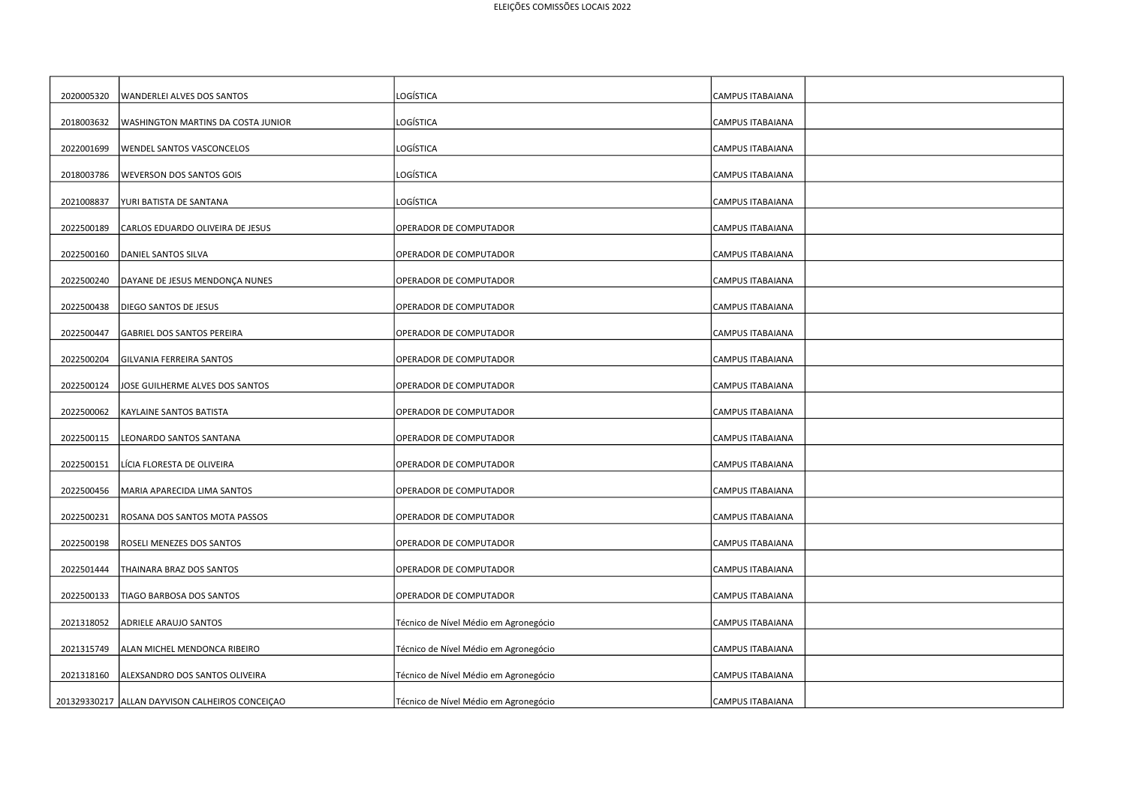| 2020005320 | WANDERLEI ALVES DOS SANTOS                        | LOGÍSTICA                             | <b>CAMPUS ITABAIANA</b> |
|------------|---------------------------------------------------|---------------------------------------|-------------------------|
| 2018003632 | <b>WASHINGTON MARTINS DA COSTA JUNIOR</b>         | LOGÍSTICA                             | CAMPUS ITABAIANA        |
| 2022001699 | WENDEL SANTOS VASCONCELOS                         | LOGÍSTICA                             | CAMPUS ITABAIANA        |
| 2018003786 | <b>WEVERSON DOS SANTOS GOIS</b>                   | LOGÍSTICA                             | <b>CAMPUS ITABAIANA</b> |
| 2021008837 | YURI BATISTA DE SANTANA                           | LOGÍSTICA                             | CAMPUS ITABAIANA        |
| 2022500189 | CARLOS EDUARDO OLIVEIRA DE JESUS                  | OPERADOR DE COMPUTADOR                | <b>CAMPUS ITABAIANA</b> |
| 2022500160 | DANIEL SANTOS SILVA                               | OPERADOR DE COMPUTADOR                | CAMPUS ITABAIANA        |
| 2022500240 | DAYANE DE JESUS MENDONÇA NUNES                    | OPERADOR DE COMPUTADOR                | CAMPUS ITABAIANA        |
| 2022500438 | DIEGO SANTOS DE JESUS                             | OPERADOR DE COMPUTADOR                | CAMPUS ITABAIANA        |
| 2022500447 | GABRIEL DOS SANTOS PEREIRA                        | OPERADOR DE COMPUTADOR                | CAMPUS ITABAIANA        |
| 2022500204 | GILVANIA FERREIRA SANTOS                          | OPERADOR DE COMPUTADOR                | CAMPUS ITABAIANA        |
| 2022500124 | JOSE GUILHERME ALVES DOS SANTOS                   | OPERADOR DE COMPUTADOR                | CAMPUS ITABAIANA        |
| 2022500062 | KAYLAINE SANTOS BATISTA                           | OPERADOR DE COMPUTADOR                | CAMPUS ITABAIANA        |
| 2022500115 | LEONARDO SANTOS SANTANA                           | OPERADOR DE COMPUTADOR                | <b>CAMPUS ITABAIANA</b> |
| 2022500151 | LÍCIA FLORESTA DE OLIVEIRA                        | OPERADOR DE COMPUTADOR                | CAMPUS ITABAIANA        |
| 2022500456 | MARIA APARECIDA LIMA SANTOS                       | OPERADOR DE COMPUTADOR                | CAMPUS ITABAIANA        |
| 2022500231 | ROSANA DOS SANTOS MOTA PASSOS                     | OPERADOR DE COMPUTADOR                | CAMPUS ITABAIANA        |
| 2022500198 | ROSELI MENEZES DOS SANTOS                         | OPERADOR DE COMPUTADOR                | CAMPUS ITABAIANA        |
| 2022501444 | THAINARA BRAZ DOS SANTOS                          | OPERADOR DE COMPUTADOR                | CAMPUS ITABAIANA        |
| 2022500133 | TIAGO BARBOSA DOS SANTOS                          | OPERADOR DE COMPUTADOR                | CAMPUS ITABAIANA        |
| 2021318052 | ADRIELE ARAUJO SANTOS                             | Técnico de Nível Médio em Agronegócio | CAMPUS ITABAIANA        |
| 2021315749 | ALAN MICHEL MENDONCA RIBEIRO                      | Técnico de Nível Médio em Agronegócio | CAMPUS ITABAIANA        |
| 2021318160 | ALEXSANDRO DOS SANTOS OLIVEIRA                    | Técnico de Nível Médio em Agronegócio | CAMPUS ITABAIANA        |
|            | 201329330217   ALLAN DAYVISON CALHEIROS CONCEIÇAO | Técnico de Nível Médio em Agronegócio | CAMPUS ITABAIANA        |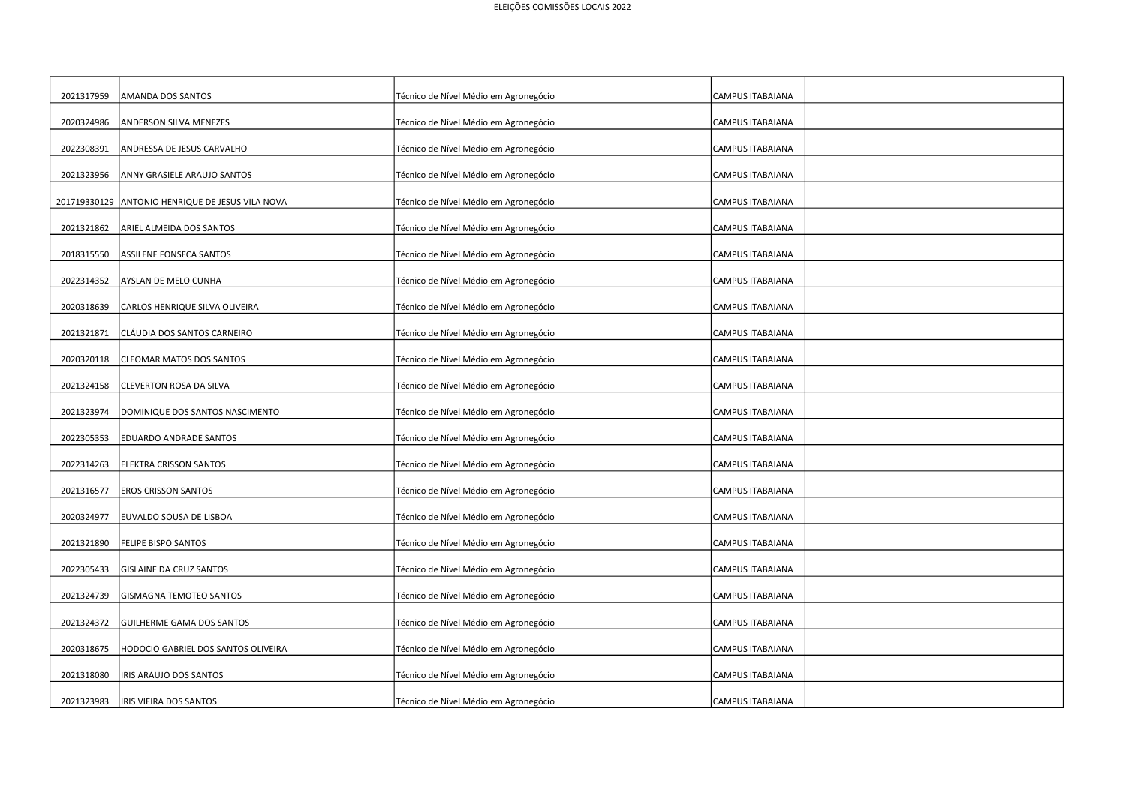| 2021317959 | AMANDA DOS SANTOS                                | Técnico de Nível Médio em Agronegócio | <b>CAMPUS ITABAIANA</b> |  |
|------------|--------------------------------------------------|---------------------------------------|-------------------------|--|
| 2020324986 | <b>ANDERSON SILVA MENEZES</b>                    | Técnico de Nível Médio em Agronegócio | CAMPUS ITABAIANA        |  |
| 2022308391 | ANDRESSA DE JESUS CARVALHO                       | Técnico de Nível Médio em Agronegócio | CAMPUS ITABAIANA        |  |
| 2021323956 | ANNY GRASIELE ARAUJO SANTOS                      | Técnico de Nível Médio em Agronegócio | CAMPUS ITABAIANA        |  |
|            | 201719330129 ANTONIO HENRIQUE DE JESUS VILA NOVA | Técnico de Nível Médio em Agronegócio | <b>CAMPUS ITABAIANA</b> |  |
| 2021321862 | ARIEL ALMEIDA DOS SANTOS                         | Técnico de Nível Médio em Agronegócio | CAMPUS ITABAIANA        |  |
| 2018315550 | ASSILENE FONSECA SANTOS                          | Técnico de Nível Médio em Agronegócio | CAMPUS ITABAIANA        |  |
| 2022314352 | AYSLAN DE MELO CUNHA                             | Técnico de Nível Médio em Agronegócio | CAMPUS ITABAIANA        |  |
| 2020318639 | CARLOS HENRIQUE SILVA OLIVEIRA                   | Técnico de Nível Médio em Agronegócio | CAMPUS ITABAIANA        |  |
| 2021321871 | CLÁUDIA DOS SANTOS CARNEIRO                      | Técnico de Nível Médio em Agronegócio | <b>CAMPUS ITABAIANA</b> |  |
| 2020320118 | CLEOMAR MATOS DOS SANTOS                         | Técnico de Nível Médio em Agronegócio | CAMPUS ITABAIANA        |  |
| 2021324158 | CLEVERTON ROSA DA SILVA                          | Técnico de Nível Médio em Agronegócio | CAMPUS ITABAIANA        |  |
| 2021323974 | DOMINIQUE DOS SANTOS NASCIMENTO                  | Técnico de Nível Médio em Agronegócio | CAMPUS ITABAIANA        |  |
| 2022305353 | <b>EDUARDO ANDRADE SANTOS</b>                    | Técnico de Nível Médio em Agronegócio | <b>CAMPUS ITABAIANA</b> |  |
| 2022314263 | <b>ELEKTRA CRISSON SANTOS</b>                    | Técnico de Nível Médio em Agronegócio | CAMPUS ITABAIANA        |  |
| 2021316577 | <b>EROS CRISSON SANTOS</b>                       | Técnico de Nível Médio em Agronegócio | CAMPUS ITABAIANA        |  |
| 2020324977 | EUVALDO SOUSA DE LISBOA                          | Técnico de Nível Médio em Agronegócio | CAMPUS ITABAIANA        |  |
| 2021321890 | FELIPE BISPO SANTOS                              | Técnico de Nível Médio em Agronegócio | <b>CAMPUS ITABAIANA</b> |  |
| 2022305433 | GISLAINE DA CRUZ SANTOS                          | Técnico de Nível Médio em Agronegócio | CAMPUS ITABAIANA        |  |
| 2021324739 | <b>GISMAGNA TEMOTEO SANTOS</b>                   | Técnico de Nível Médio em Agronegócio | CAMPUS ITABAIANA        |  |
| 2021324372 | <b>GUILHERME GAMA DOS SANTOS</b>                 | Técnico de Nível Médio em Agronegócio | CAMPUS ITABAIANA        |  |
| 2020318675 | HODOCIO GABRIEL DOS SANTOS OLIVEIRA              | Técnico de Nível Médio em Agronegócio | CAMPUS ITABAIANA        |  |
| 2021318080 | IRIS ARAUJO DOS SANTOS                           | Técnico de Nível Médio em Agronegócio | CAMPUS ITABAIANA        |  |
| 2021323983 | IRIS VIEIRA DOS SANTOS                           | Técnico de Nível Médio em Agronegócio | CAMPUS ITABAIANA        |  |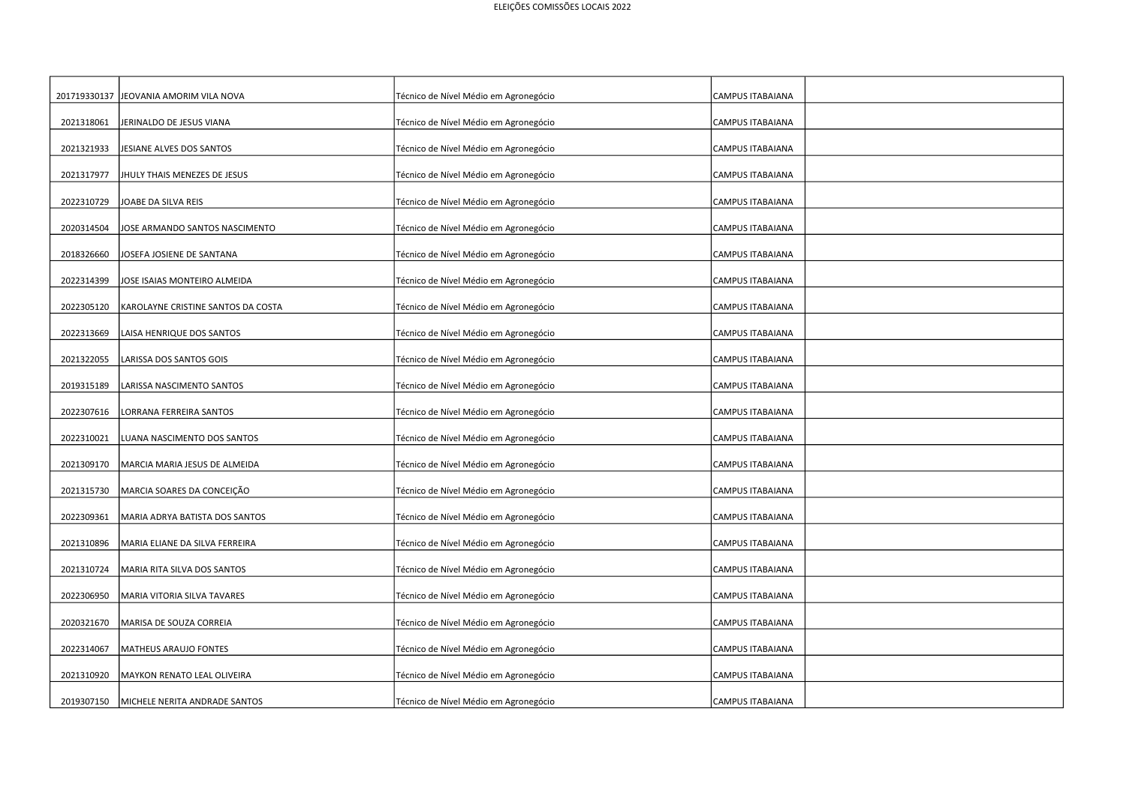| 201719330137 | JEOVANIA AMORIM VILA NOVA          | Técnico de Nível Médio em Agronegócio | CAMPUS ITABAIANA        |
|--------------|------------------------------------|---------------------------------------|-------------------------|
| 2021318061   | JERINALDO DE JESUS VIANA           | Técnico de Nível Médio em Agronegócio | <b>CAMPUS ITABAIANA</b> |
| 2021321933   | JESIANE ALVES DOS SANTOS           | Técnico de Nível Médio em Agronegócio | <b>CAMPUS ITABAIANA</b> |
| 2021317977   | JHULY THAIS MENEZES DE JESUS       | Técnico de Nível Médio em Agronegócio | <b>CAMPUS ITABAIANA</b> |
| 2022310729   | JOABE DA SILVA REIS                | Técnico de Nível Médio em Agronegócio | <b>CAMPUS ITABAIANA</b> |
| 2020314504   | JOSE ARMANDO SANTOS NASCIMENTO     | Técnico de Nível Médio em Agronegócio | <b>CAMPUS ITABAIANA</b> |
| 2018326660   | JOSEFA JOSIENE DE SANTANA          | Técnico de Nível Médio em Agronegócio | <b>CAMPUS ITABAIANA</b> |
| 2022314399   | JOSE ISAIAS MONTEIRO ALMEIDA       | Técnico de Nível Médio em Agronegócio | <b>CAMPUS ITABAIANA</b> |
| 2022305120   | KAROLAYNE CRISTINE SANTOS DA COSTA | Técnico de Nível Médio em Agronegócio | CAMPUS ITABAIANA        |
| 2022313669   | LAISA HENRIQUE DOS SANTOS          | Técnico de Nível Médio em Agronegócio | CAMPUS ITABAIANA        |
| 2021322055   | LARISSA DOS SANTOS GOIS            | Técnico de Nível Médio em Agronegócio | <b>CAMPUS ITABAIANA</b> |
| 2019315189   | LARISSA NASCIMENTO SANTOS          | Técnico de Nível Médio em Agronegócio | <b>CAMPUS ITABAIANA</b> |
| 2022307616   | LORRANA FERREIRA SANTOS            | Técnico de Nível Médio em Agronegócio | <b>CAMPUS ITABAIANA</b> |
| 2022310021   | LUANA NASCIMENTO DOS SANTOS        | Técnico de Nível Médio em Agronegócio | <b>CAMPUS ITABAIANA</b> |
| 2021309170   | MARCIA MARIA JESUS DE ALMEIDA      | Técnico de Nível Médio em Agronegócio | <b>CAMPUS ITABAIANA</b> |
| 2021315730   | MARCIA SOARES DA CONCEIÇÃO         | Técnico de Nível Médio em Agronegócio | <b>CAMPUS ITABAIANA</b> |
| 2022309361   | MARIA ADRYA BATISTA DOS SANTOS     | Técnico de Nível Médio em Agronegócio | <b>CAMPUS ITABAIANA</b> |
| 2021310896   | MARIA ELIANE DA SILVA FERREIRA     | Técnico de Nível Médio em Agronegócio | CAMPUS ITABAIANA        |
| 2021310724   | MARIA RITA SILVA DOS SANTOS        | Técnico de Nível Médio em Agronegócio | CAMPUS ITABAIANA        |
| 2022306950   | MARIA VITORIA SILVA TAVARES        | Técnico de Nível Médio em Agronegócio | <b>CAMPUS ITABAIANA</b> |
| 2020321670   | MARISA DE SOUZA CORREIA            | Técnico de Nível Médio em Agronegócio | <b>CAMPUS ITABAIANA</b> |
| 2022314067   | MATHEUS ARAUJO FONTES              | Técnico de Nível Médio em Agronegócio | <b>CAMPUS ITABAIANA</b> |
| 2021310920   | MAYKON RENATO LEAL OLIVEIRA        | Técnico de Nível Médio em Agronegócio | CAMPUS ITABAIANA        |
| 2019307150   | MICHELE NERITA ANDRADE SANTOS      | Técnico de Nível Médio em Agronegócio | <b>CAMPUS ITABAIANA</b> |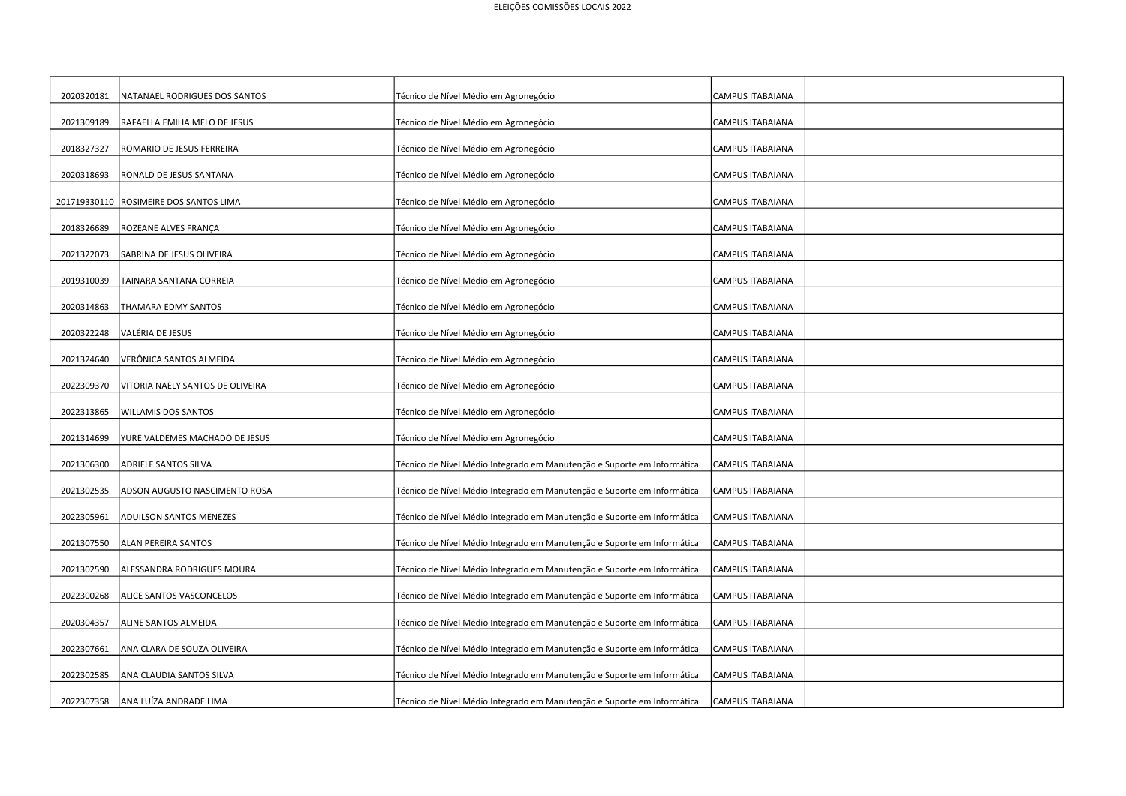| 2020320181 | NATANAEL RODRIGUES DOS SANTOS          | Técnico de Nível Médio em Agronegócio                                   | <b>CAMPUS ITABAIANA</b> |  |
|------------|----------------------------------------|-------------------------------------------------------------------------|-------------------------|--|
| 2021309189 | RAFAELLA EMILIA MELO DE JESUS          | Técnico de Nível Médio em Agronegócio                                   | CAMPUS ITABAIANA        |  |
| 2018327327 | ROMARIO DE JESUS FERREIRA              | Técnico de Nível Médio em Agronegócio                                   | <b>CAMPUS ITABAIANA</b> |  |
| 2020318693 | RONALD DE JESUS SANTANA                | Técnico de Nível Médio em Agronegócio                                   | CAMPUS ITABAIANA        |  |
|            | 201719330110 ROSIMEIRE DOS SANTOS LIMA | Técnico de Nível Médio em Agronegócio                                   | <b>CAMPUS ITABAIANA</b> |  |
| 2018326689 | ROZEANE ALVES FRANÇA                   | Técnico de Nível Médio em Agronegócio                                   | <b>CAMPUS ITABAIANA</b> |  |
| 2021322073 | SABRINA DE JESUS OLIVEIRA              | Técnico de Nível Médio em Agronegócio                                   | CAMPUS ITABAIANA        |  |
| 2019310039 | TAINARA SANTANA CORREIA                | Técnico de Nível Médio em Agronegócio                                   | <b>CAMPUS ITABAIANA</b> |  |
| 2020314863 | THAMARA EDMY SANTOS                    | Técnico de Nível Médio em Agronegócio                                   | CAMPUS ITABAIANA        |  |
| 2020322248 | VALÉRIA DE JESUS                       | Técnico de Nível Médio em Agronegócio                                   | <b>CAMPUS ITABAIANA</b> |  |
| 2021324640 | VERÔNICA SANTOS ALMEIDA                | Técnico de Nível Médio em Agronegócio                                   | CAMPUS ITABAIANA        |  |
| 2022309370 | VITORIA NAELY SANTOS DE OLIVEIRA       | Técnico de Nível Médio em Agronegócio                                   | <b>CAMPUS ITABAIANA</b> |  |
| 2022313865 | <b>WILLAMIS DOS SANTOS</b>             | Técnico de Nível Médio em Agronegócio                                   | CAMPUS ITABAIANA        |  |
| 2021314699 | YURE VALDEMES MACHADO DE JESUS         | Técnico de Nível Médio em Agronegócio                                   | CAMPUS ITABAIANA        |  |
| 2021306300 | ADRIELE SANTOS SILVA                   | Técnico de Nível Médio Integrado em Manutenção e Suporte em Informática | CAMPUS ITABAIANA        |  |
| 2021302535 | ADSON AUGUSTO NASCIMENTO ROSA          | Técnico de Nível Médio Integrado em Manutenção e Suporte em Informática | CAMPUS ITABAIANA        |  |
| 2022305961 | <b>ADUILSON SANTOS MENEZES</b>         | Técnico de Nível Médio Integrado em Manutenção e Suporte em Informática | CAMPUS ITABAIANA        |  |
| 2021307550 | ALAN PEREIRA SANTOS                    | Técnico de Nível Médio Integrado em Manutenção e Suporte em Informática | CAMPUS ITABAIANA        |  |
| 2021302590 | ALESSANDRA RODRIGUES MOURA             | Técnico de Nível Médio Integrado em Manutenção e Suporte em Informática | CAMPUS ITABAIANA        |  |
| 2022300268 | ALICE SANTOS VASCONCELOS               | Técnico de Nível Médio Integrado em Manutenção e Suporte em Informática | CAMPUS ITABAIANA        |  |
| 2020304357 | ALINE SANTOS ALMEIDA                   | Técnico de Nível Médio Integrado em Manutenção e Suporte em Informática | CAMPUS ITABAIANA        |  |
| 2022307661 | ANA CLARA DE SOUZA OLIVEIRA            | Técnico de Nível Médio Integrado em Manutenção e Suporte em Informática | CAMPUS ITABAIANA        |  |
| 2022302585 | ANA CLAUDIA SANTOS SILVA               | Técnico de Nível Médio Integrado em Manutenção e Suporte em Informática | CAMPUS ITABAIANA        |  |
| 2022307358 | ANA LUÍZA ANDRADE LIMA                 | Técnico de Nível Médio Integrado em Manutenção e Suporte em Informática | CAMPUS ITABAIANA        |  |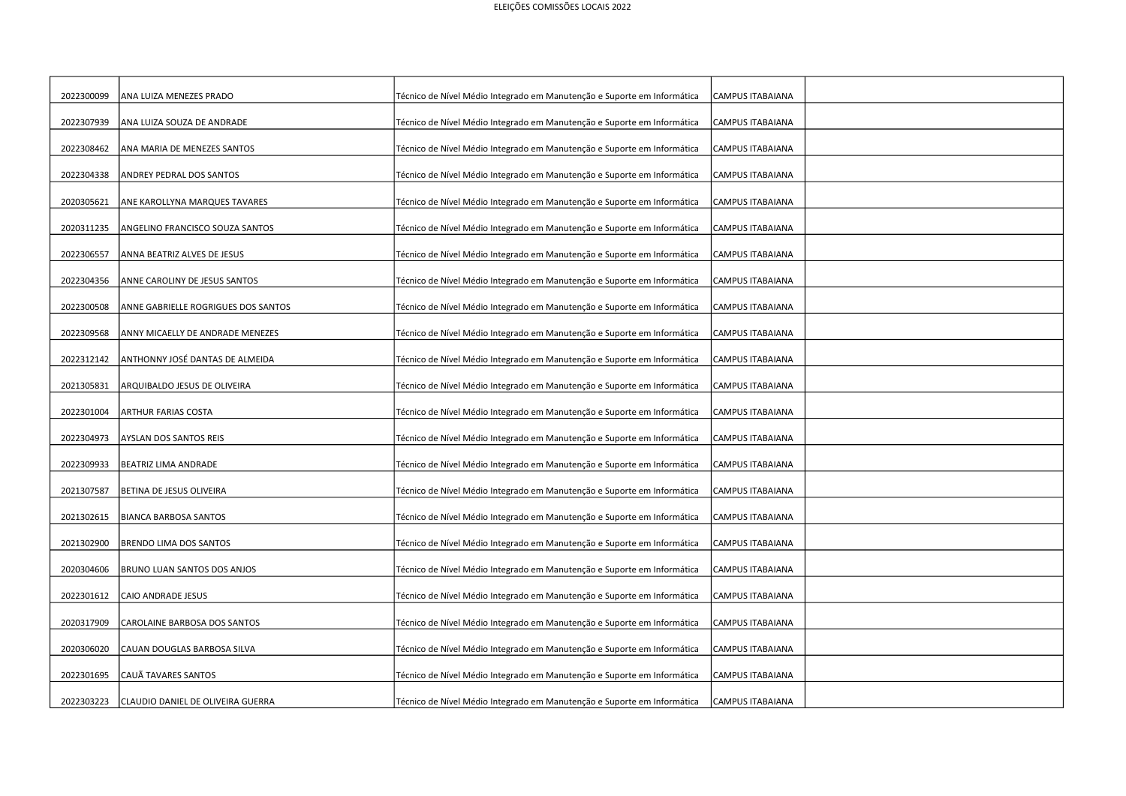| 2022300099 | ANA LUIZA MENEZES PRADO             | Técnico de Nível Médio Integrado em Manutenção e Suporte em Informática | CAMPUS ITABAIANA        |  |
|------------|-------------------------------------|-------------------------------------------------------------------------|-------------------------|--|
| 2022307939 | ANA LUIZA SOUZA DE ANDRADE          | Técnico de Nível Médio Integrado em Manutenção e Suporte em Informática | CAMPUS ITABAIANA        |  |
| 2022308462 | ANA MARIA DE MENEZES SANTOS         | Técnico de Nível Médio Integrado em Manutenção e Suporte em Informática | CAMPUS ITABAIANA        |  |
| 2022304338 | ANDREY PEDRAL DOS SANTOS            | Técnico de Nível Médio Integrado em Manutenção e Suporte em Informática | <b>CAMPUS ITABAIANA</b> |  |
| 2020305621 | ANE KAROLLYNA MARQUES TAVARES       | Técnico de Nível Médio Integrado em Manutenção e Suporte em Informática | CAMPUS ITABAIANA        |  |
| 2020311235 | ANGELINO FRANCISCO SOUZA SANTOS     | Técnico de Nível Médio Integrado em Manutenção e Suporte em Informática | CAMPUS ITABAIANA        |  |
| 2022306557 | ANNA BEATRIZ ALVES DE JESUS         | Técnico de Nível Médio Integrado em Manutenção e Suporte em Informática | CAMPUS ITABAIANA        |  |
| 2022304356 | ANNE CAROLINY DE JESUS SANTOS       | Técnico de Nível Médio Integrado em Manutenção e Suporte em Informática | CAMPUS ITABAIANA        |  |
| 2022300508 | ANNE GABRIELLE ROGRIGUES DOS SANTOS | Técnico de Nível Médio Integrado em Manutenção e Suporte em Informática | CAMPUS ITABAIANA        |  |
| 2022309568 | ANNY MICAELLY DE ANDRADE MENEZES    | Técnico de Nível Médio Integrado em Manutenção e Suporte em Informática | CAMPUS ITABAIANA        |  |
| 2022312142 | ANTHONNY JOSÉ DANTAS DE ALMEIDA     | Técnico de Nível Médio Integrado em Manutenção e Suporte em Informática | CAMPUS ITABAIANA        |  |
| 2021305831 | ARQUIBALDO JESUS DE OLIVEIRA        | Técnico de Nível Médio Integrado em Manutenção e Suporte em Informática | CAMPUS ITABAIANA        |  |
| 2022301004 | ARTHUR FARIAS COSTA                 | Técnico de Nível Médio Integrado em Manutenção e Suporte em Informática | <b>CAMPUS ITABAIANA</b> |  |
| 2022304973 | AYSLAN DOS SANTOS REIS              | Técnico de Nível Médio Integrado em Manutenção e Suporte em Informática | <b>CAMPUS ITABAIANA</b> |  |
| 2022309933 | BEATRIZ LIMA ANDRADE                | Técnico de Nível Médio Integrado em Manutenção e Suporte em Informática | <b>CAMPUS ITABAIANA</b> |  |
| 2021307587 | BETINA DE JESUS OLIVEIRA            | Técnico de Nível Médio Integrado em Manutenção e Suporte em Informática | CAMPUS ITABAIANA        |  |
| 2021302615 | <b>BIANCA BARBOSA SANTOS</b>        | Técnico de Nível Médio Integrado em Manutenção e Suporte em Informática | CAMPUS ITABAIANA        |  |
| 2021302900 | BRENDO LIMA DOS SANTOS              | Técnico de Nível Médio Integrado em Manutenção e Suporte em Informática | <b>CAMPUS ITABAIANA</b> |  |
| 2020304606 | BRUNO LUAN SANTOS DOS ANJOS         | Técnico de Nível Médio Integrado em Manutenção e Suporte em Informática | CAMPUS ITABAIANA        |  |
| 2022301612 | CAIO ANDRADE JESUS                  | Técnico de Nível Médio Integrado em Manutenção e Suporte em Informática | CAMPUS ITABAIANA        |  |
| 2020317909 | CAROLAINE BARBOSA DOS SANTOS        | Técnico de Nível Médio Integrado em Manutenção e Suporte em Informática | CAMPUS ITABAIANA        |  |
| 2020306020 | CAUAN DOUGLAS BARBOSA SILVA         | Técnico de Nível Médio Integrado em Manutenção e Suporte em Informática | <b>CAMPUS ITABAIANA</b> |  |
| 2022301695 | CAUÃ TAVARES SANTOS                 | Técnico de Nível Médio Integrado em Manutenção e Suporte em Informática | <b>CAMPUS ITABAIANA</b> |  |
|            |                                     |                                                                         |                         |  |
| 2022303223 | CLAUDIO DANIEL DE OLIVEIRA GUERRA   | Técnico de Nível Médio Integrado em Manutenção e Suporte em Informática | CAMPUS ITABAIANA        |  |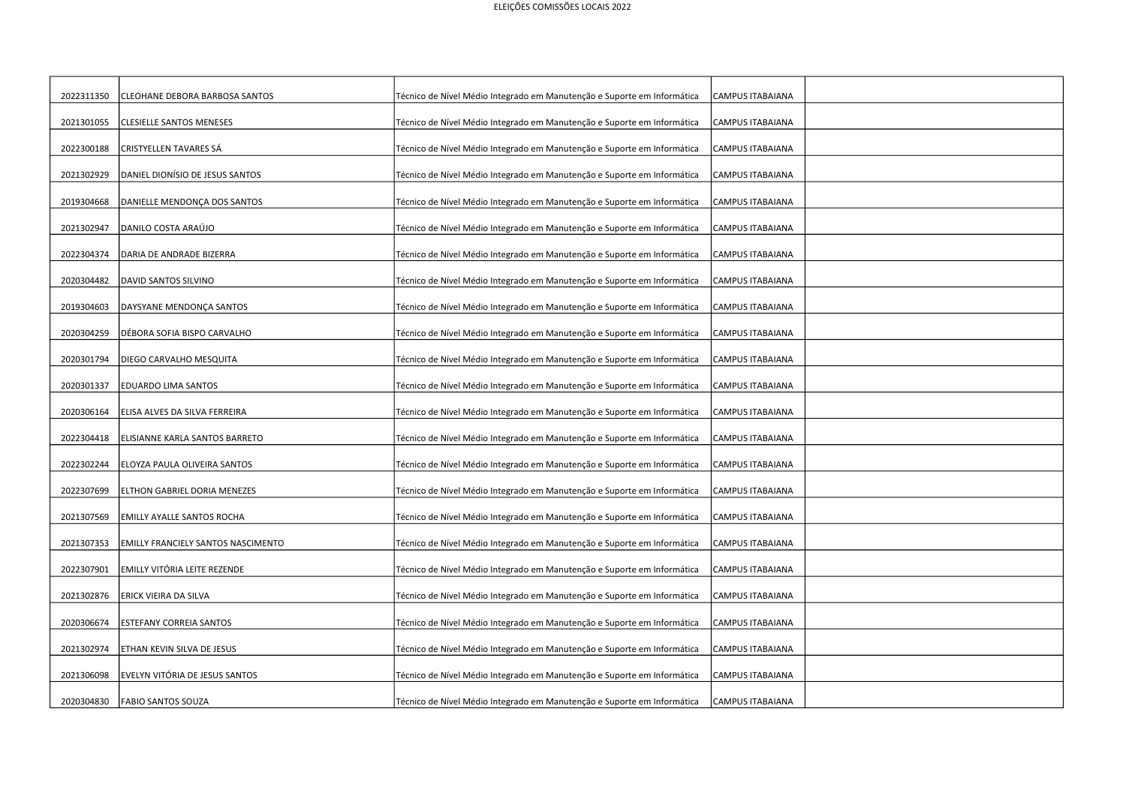| 2022311350 | CLEOHANE DEBORA BARBOSA SANTOS     | Técnico de Nível Médio Integrado em Manutenção e Suporte em Informática | CAMPUS ITABAIANA        |  |
|------------|------------------------------------|-------------------------------------------------------------------------|-------------------------|--|
| 2021301055 | <b>CLESIELLE SANTOS MENESES</b>    | Técnico de Nível Médio Integrado em Manutenção e Suporte em Informática | CAMPUS ITABAIANA        |  |
| 2022300188 | CRISTYELLEN TAVARES SÁ             | Técnico de Nível Médio Integrado em Manutenção e Suporte em Informática | CAMPUS ITABAIANA        |  |
| 2021302929 | DANIEL DIONÍSIO DE JESUS SANTOS    | Técnico de Nível Médio Integrado em Manutenção e Suporte em Informática | <b>CAMPUS ITABAIANA</b> |  |
| 2019304668 | DANIELLE MENDONÇA DOS SANTOS       | Técnico de Nível Médio Integrado em Manutenção e Suporte em Informática | <b>CAMPUS ITABAIANA</b> |  |
| 2021302947 | DANILO COSTA ARAÚJO                | Técnico de Nível Médio Integrado em Manutenção e Suporte em Informática | CAMPUS ITABAIANA        |  |
| 2022304374 | DARIA DE ANDRADE BIZERRA           | Técnico de Nível Médio Integrado em Manutenção e Suporte em Informática | CAMPUS ITABAIANA        |  |
| 2020304482 | DAVID SANTOS SILVINO               | Técnico de Nível Médio Integrado em Manutenção e Suporte em Informática | CAMPUS ITABAIANA        |  |
| 2019304603 | DAYSYANE MENDONÇA SANTOS           | Técnico de Nível Médio Integrado em Manutenção e Suporte em Informática | CAMPUS ITABAIANA        |  |
| 2020304259 | DÉBORA SOFIA BISPO CARVALHO        | Técnico de Nível Médio Integrado em Manutenção e Suporte em Informática | CAMPUS ITABAIANA        |  |
| 2020301794 | DIEGO CARVALHO MESQUITA            | Técnico de Nível Médio Integrado em Manutenção e Suporte em Informática | CAMPUS ITABAIANA        |  |
| 2020301337 | EDUARDO LIMA SANTOS                | Técnico de Nível Médio Integrado em Manutenção e Suporte em Informática | CAMPUS ITABAIANA        |  |
| 2020306164 | ELISA ALVES DA SILVA FERREIRA      | Técnico de Nível Médio Integrado em Manutenção e Suporte em Informática | <b>CAMPUS ITABAIANA</b> |  |
| 2022304418 | ELISIANNE KARLA SANTOS BARRETO     | Técnico de Nível Médio Integrado em Manutenção e Suporte em Informática | <b>CAMPUS ITABAIANA</b> |  |
| 2022302244 | ELOYZA PAULA OLIVEIRA SANTOS       | Técnico de Nível Médio Integrado em Manutenção e Suporte em Informática | CAMPUS ITABAIANA        |  |
| 2022307699 | ELTHON GABRIEL DORIA MENEZES       | Técnico de Nível Médio Integrado em Manutenção e Suporte em Informática | CAMPUS ITABAIANA        |  |
| 2021307569 | <b>EMILLY AYALLE SANTOS ROCHA</b>  | Técnico de Nível Médio Integrado em Manutenção e Suporte em Informática | CAMPUS ITABAIANA        |  |
| 2021307353 | EMILLY FRANCIELY SANTOS NASCIMENTO | Técnico de Nível Médio Integrado em Manutenção e Suporte em Informática | <b>CAMPUS ITABAIANA</b> |  |
|            |                                    |                                                                         |                         |  |
| 2022307901 | EMILLY VITÓRIA LEITE REZENDE       | Técnico de Nível Médio Integrado em Manutenção e Suporte em Informática | CAMPUS ITABAIANA        |  |
| 2021302876 | ERICK VIEIRA DA SILVA              | Técnico de Nível Médio Integrado em Manutenção e Suporte em Informática | CAMPUS ITABAIANA        |  |
| 2020306674 | ESTEFANY CORREIA SANTOS            | Técnico de Nível Médio Integrado em Manutenção e Suporte em Informática | CAMPUS ITABAIANA        |  |
| 2021302974 | ETHAN KEVIN SILVA DE JESUS         | Técnico de Nível Médio Integrado em Manutenção e Suporte em Informática | <b>CAMPUS ITABAIANA</b> |  |
|            |                                    |                                                                         |                         |  |
| 2021306098 | EVELYN VITÓRIA DE JESUS SANTOS     | Técnico de Nível Médio Integrado em Manutenção e Suporte em Informática | <b>CAMPUS ITABAIANA</b> |  |
| 2020304830 | <b>FABIO SANTOS SOUZA</b>          | Técnico de Nível Médio Integrado em Manutenção e Suporte em Informática | CAMPUS ITABAIANA        |  |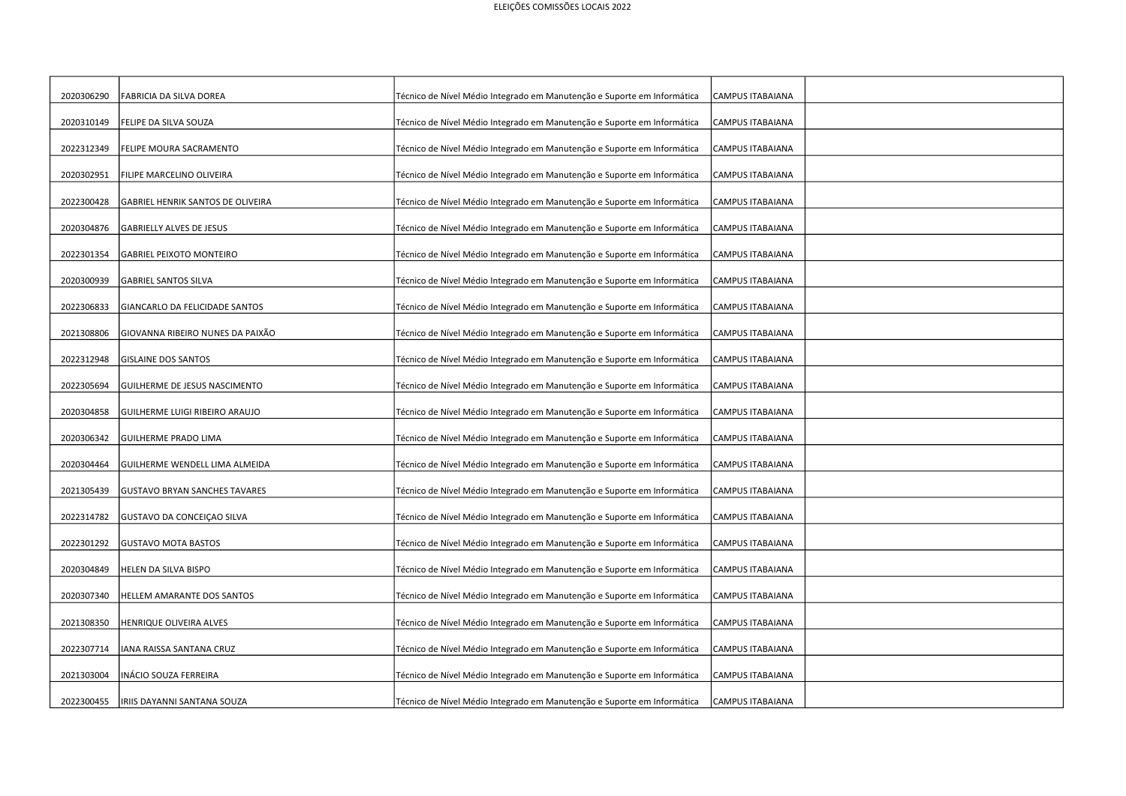| 2020306290 | FABRICIA DA SILVA DOREA              | Técnico de Nível Médio Integrado em Manutenção e Suporte em Informática | CAMPUS ITABAIANA        |  |
|------------|--------------------------------------|-------------------------------------------------------------------------|-------------------------|--|
| 2020310149 | FELIPE DA SILVA SOUZA                | Técnico de Nível Médio Integrado em Manutenção e Suporte em Informática | CAMPUS ITABAIANA        |  |
| 2022312349 | FELIPE MOURA SACRAMENTO              | Técnico de Nível Médio Integrado em Manutenção e Suporte em Informática | CAMPUS ITABAIANA        |  |
| 2020302951 | FILIPE MARCELINO OLIVEIRA            | Técnico de Nível Médio Integrado em Manutenção e Suporte em Informática | <b>CAMPUS ITABAIANA</b> |  |
| 2022300428 | GABRIEL HENRIK SANTOS DE OLIVEIRA    | Técnico de Nível Médio Integrado em Manutenção e Suporte em Informática | <b>CAMPUS ITABAIANA</b> |  |
| 2020304876 | GABRIELLY ALVES DE JESUS             | Técnico de Nível Médio Integrado em Manutenção e Suporte em Informática | CAMPUS ITABAIANA        |  |
| 2022301354 | <b>GABRIEL PEIXOTO MONTEIRO</b>      | Técnico de Nível Médio Integrado em Manutenção e Suporte em Informática | CAMPUS ITABAIANA        |  |
| 2020300939 | <b>GABRIEL SANTOS SILVA</b>          | Técnico de Nível Médio Integrado em Manutenção e Suporte em Informática | CAMPUS ITABAIANA        |  |
| 2022306833 | GIANCARLO DA FELICIDADE SANTOS       | Técnico de Nível Médio Integrado em Manutenção e Suporte em Informática | CAMPUS ITABAIANA        |  |
| 2021308806 | GIOVANNA RIBEIRO NUNES DA PAIXÃO     | Técnico de Nível Médio Integrado em Manutenção e Suporte em Informática | CAMPUS ITABAIANA        |  |
| 2022312948 | <b>GISLAINE DOS SANTOS</b>           | Técnico de Nível Médio Integrado em Manutenção e Suporte em Informática | CAMPUS ITABAIANA        |  |
| 2022305694 | GUILHERME DE JESUS NASCIMENTO        | Técnico de Nível Médio Integrado em Manutenção e Suporte em Informática | CAMPUS ITABAIANA        |  |
| 2020304858 | GUILHERME LUIGI RIBEIRO ARAUJO       | Técnico de Nível Médio Integrado em Manutenção e Suporte em Informática | <b>CAMPUS ITABAIANA</b> |  |
| 2020306342 | <b>GUILHERME PRADO LIMA</b>          | Técnico de Nível Médio Integrado em Manutenção e Suporte em Informática | <b>CAMPUS ITABAIANA</b> |  |
| 2020304464 | GUILHERME WENDELL LIMA ALMEIDA       | Técnico de Nível Médio Integrado em Manutenção e Suporte em Informática | CAMPUS ITABAIANA        |  |
| 2021305439 | <b>GUSTAVO BRYAN SANCHES TAVARES</b> | Técnico de Nível Médio Integrado em Manutenção e Suporte em Informática | CAMPUS ITABAIANA        |  |
| 2022314782 | GUSTAVO DA CONCEIÇÃO SILVA           | Técnico de Nível Médio Integrado em Manutenção e Suporte em Informática | CAMPUS ITABAIANA        |  |
| 2022301292 | <b>GUSTAVO MOTA BASTOS</b>           | Técnico de Nível Médio Integrado em Manutenção e Suporte em Informática | <b>CAMPUS ITABAIANA</b> |  |
| 2020304849 | HELEN DA SILVA BISPO                 | Técnico de Nível Médio Integrado em Manutenção e Suporte em Informática | CAMPUS ITABAIANA        |  |
| 2020307340 |                                      | Técnico de Nível Médio Integrado em Manutenção e Suporte em Informática | CAMPUS ITABAIANA        |  |
|            | HELLEM AMARANTE DOS SANTOS           |                                                                         |                         |  |
| 2021308350 | HENRIQUE OLIVEIRA ALVES              | Técnico de Nível Médio Integrado em Manutenção e Suporte em Informática | <b>CAMPUS ITABAIANA</b> |  |
| 2022307714 | ANA RAISSA SANTANA CRUZ              | Técnico de Nível Médio Integrado em Manutenção e Suporte em Informática | <b>CAMPUS ITABAIANA</b> |  |
| 2021303004 | INÁCIO SOUZA FERREIRA                | Técnico de Nível Médio Integrado em Manutenção e Suporte em Informática | <b>CAMPUS ITABAIANA</b> |  |
| 2022300455 | IRIIS DAYANNI SANTANA SOUZA          | Técnico de Nível Médio Integrado em Manutenção e Suporte em Informática | CAMPUS ITABAIANA        |  |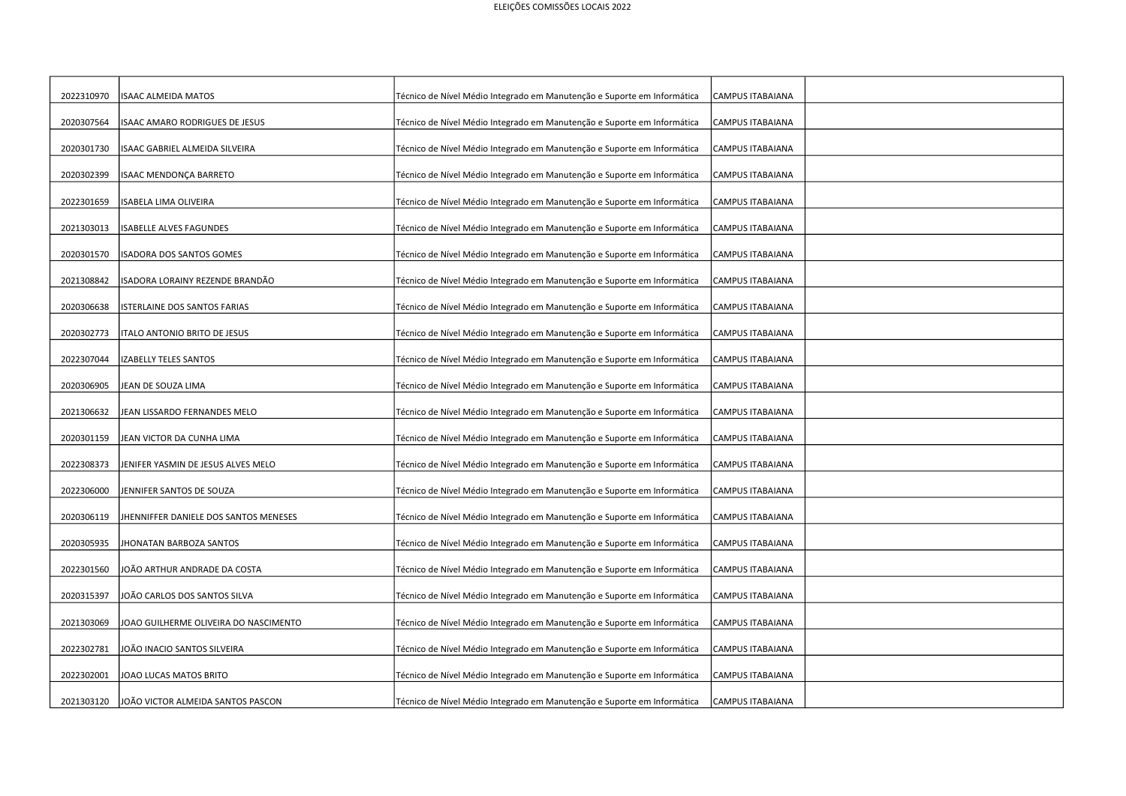| 2022310970 | <b>ISAAC ALMEIDA MATOS</b>            | Técnico de Nível Médio Integrado em Manutenção e Suporte em Informática | CAMPUS ITABAIANA        |  |
|------------|---------------------------------------|-------------------------------------------------------------------------|-------------------------|--|
| 2020307564 | ISAAC AMARO RODRIGUES DE JESUS        | Técnico de Nível Médio Integrado em Manutenção e Suporte em Informática | CAMPUS ITABAIANA        |  |
| 2020301730 | ISAAC GABRIEL ALMEIDA SILVEIRA        | Técnico de Nível Médio Integrado em Manutenção e Suporte em Informática | CAMPUS ITABAIANA        |  |
| 2020302399 | ISAAC MENDONÇA BARRETO                | Técnico de Nível Médio Integrado em Manutenção e Suporte em Informática | <b>CAMPUS ITABAIANA</b> |  |
| 2022301659 | <b>ISABELA LIMA OLIVEIRA</b>          | Técnico de Nível Médio Integrado em Manutenção e Suporte em Informática | CAMPUS ITABAIANA        |  |
| 2021303013 | SABELLE ALVES FAGUNDES                | Técnico de Nível Médio Integrado em Manutenção e Suporte em Informática | CAMPUS ITABAIANA        |  |
| 2020301570 | SADORA DOS SANTOS GOMES               | Técnico de Nível Médio Integrado em Manutenção e Suporte em Informática | CAMPUS ITABAIANA        |  |
| 2021308842 | SADORA LORAINY REZENDE BRANDÃO        | Técnico de Nível Médio Integrado em Manutenção e Suporte em Informática | CAMPUS ITABAIANA        |  |
| 2020306638 | STERLAINE DOS SANTOS FARIAS           | Técnico de Nível Médio Integrado em Manutenção e Suporte em Informática | CAMPUS ITABAIANA        |  |
| 2020302773 | <b>ITALO ANTONIO BRITO DE JESUS</b>   | Técnico de Nível Médio Integrado em Manutenção e Suporte em Informática | CAMPUS ITABAIANA        |  |
| 2022307044 | IZABELLY TELES SANTOS                 | Técnico de Nível Médio Integrado em Manutenção e Suporte em Informática | CAMPUS ITABAIANA        |  |
| 2020306905 | JEAN DE SOUZA LIMA                    | Técnico de Nível Médio Integrado em Manutenção e Suporte em Informática | CAMPUS ITABAIANA        |  |
| 2021306632 | JEAN LISSARDO FERNANDES MELO          | Técnico de Nível Médio Integrado em Manutenção e Suporte em Informática | <b>CAMPUS ITABAIANA</b> |  |
| 2020301159 | JEAN VICTOR DA CUNHA LIMA             | Técnico de Nível Médio Integrado em Manutenção e Suporte em Informática | CAMPUS ITABAIANA        |  |
| 2022308373 | IENIFER YASMIN DE JESUS ALVES MELO    | Técnico de Nível Médio Integrado em Manutenção e Suporte em Informática | CAMPUS ITABAIANA        |  |
| 2022306000 | JENNIFER SANTOS DE SOUZA              | Técnico de Nível Médio Integrado em Manutenção e Suporte em Informática | CAMPUS ITABAIANA        |  |
| 2020306119 | HENNIFFER DANIELE DOS SANTOS MENESES  | Técnico de Nível Médio Integrado em Manutenção e Suporte em Informática | CAMPUS ITABAIANA        |  |
| 2020305935 | HONATAN BARBOZA SANTOS                | Técnico de Nível Médio Integrado em Manutenção e Suporte em Informática | <b>CAMPUS ITABAIANA</b> |  |
|            |                                       |                                                                         |                         |  |
| 2022301560 | IOÃO ARTHUR ANDRADE DA COSTA          | Técnico de Nível Médio Integrado em Manutenção e Suporte em Informática | CAMPUS ITABAIANA        |  |
| 2020315397 | IOÃO CARLOS DOS SANTOS SILVA          | Técnico de Nível Médio Integrado em Manutenção e Suporte em Informática | CAMPUS ITABAIANA        |  |
| 2021303069 | JOAO GUILHERME OLIVEIRA DO NASCIMENTO | Técnico de Nível Médio Integrado em Manutenção e Suporte em Informática | CAMPUS ITABAIANA        |  |
|            |                                       |                                                                         |                         |  |
| 2022302781 | JOÃO INACIO SANTOS SILVEIRA           | Técnico de Nível Médio Integrado em Manutenção e Suporte em Informática | <b>CAMPUS ITABAIANA</b> |  |
| 2022302001 | JOAO LUCAS MATOS BRITO                | Técnico de Nível Médio Integrado em Manutenção e Suporte em Informática | <b>CAMPUS ITABAIANA</b> |  |
| 2021303120 | JOÃO VICTOR ALMEIDA SANTOS PASCON     | Técnico de Nível Médio Integrado em Manutenção e Suporte em Informática | CAMPUS ITABAIANA        |  |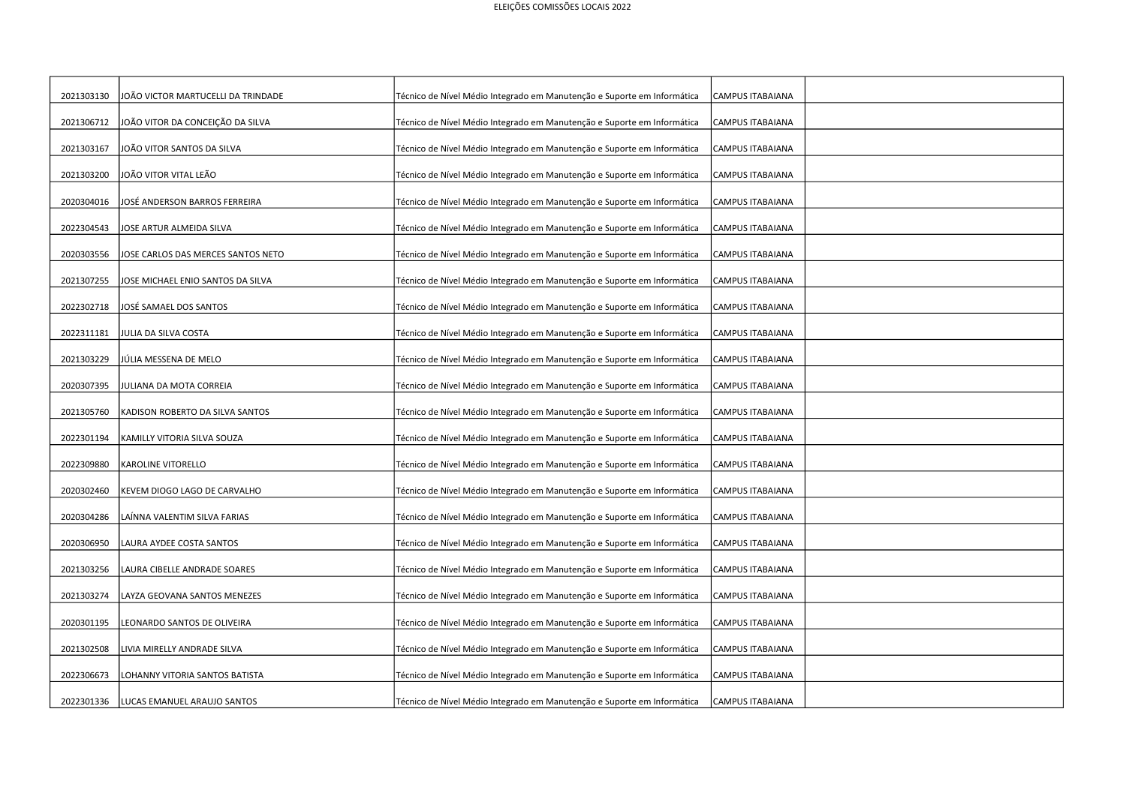| 2021303130 | IOÃO VICTOR MARTUCELLI DA TRINDADE | Técnico de Nível Médio Integrado em Manutenção e Suporte em Informática | CAMPUS ITABAIANA        |  |
|------------|------------------------------------|-------------------------------------------------------------------------|-------------------------|--|
| 2021306712 | JOÃO VITOR DA CONCEIÇÃO DA SILVA   | Técnico de Nível Médio Integrado em Manutenção e Suporte em Informática | CAMPUS ITABAIANA        |  |
| 2021303167 | JOÃO VITOR SANTOS DA SILVA         | Técnico de Nível Médio Integrado em Manutenção e Suporte em Informática | CAMPUS ITABAIANA        |  |
| 2021303200 | JOÃO VITOR VITAL LEÃO              | Técnico de Nível Médio Integrado em Manutenção e Suporte em Informática | <b>CAMPUS ITABAIANA</b> |  |
| 2020304016 | JOSÉ ANDERSON BARROS FERREIRA      | Técnico de Nível Médio Integrado em Manutenção e Suporte em Informática | CAMPUS ITABAIANA        |  |
| 2022304543 | JOSE ARTUR ALMEIDA SILVA           | Técnico de Nível Médio Integrado em Manutenção e Suporte em Informática | CAMPUS ITABAIANA        |  |
| 2020303556 | JOSE CARLOS DAS MERCES SANTOS NETO | Técnico de Nível Médio Integrado em Manutenção e Suporte em Informática | CAMPUS ITABAIANA        |  |
| 2021307255 | OSE MICHAEL ENIO SANTOS DA SILVA   | Técnico de Nível Médio Integrado em Manutenção e Suporte em Informática | CAMPUS ITABAIANA        |  |
| 2022302718 | OSÉ SAMAEL DOS SANTOS              | Técnico de Nível Médio Integrado em Manutenção e Suporte em Informática | CAMPUS ITABAIANA        |  |
| 2022311181 | JULIA DA SILVA COSTA               | Técnico de Nível Médio Integrado em Manutenção e Suporte em Informática | CAMPUS ITABAIANA        |  |
| 2021303229 | JÚLIA MESSENA DE MELO              | Técnico de Nível Médio Integrado em Manutenção e Suporte em Informática | CAMPUS ITABAIANA        |  |
| 2020307395 | JULIANA DA MOTA CORREIA            | Técnico de Nível Médio Integrado em Manutenção e Suporte em Informática | CAMPUS ITABAIANA        |  |
| 2021305760 | KADISON ROBERTO DA SILVA SANTOS    | Técnico de Nível Médio Integrado em Manutenção e Suporte em Informática | <b>CAMPUS ITABAIANA</b> |  |
| 2022301194 | KAMILLY VITORIA SILVA SOUZA        | Técnico de Nível Médio Integrado em Manutenção e Suporte em Informática | <b>CAMPUS ITABAIANA</b> |  |
| 2022309880 | KAROLINE VITORELLO                 | Técnico de Nível Médio Integrado em Manutenção e Suporte em Informática | <b>CAMPUS ITABAIANA</b> |  |
| 2020302460 | KEVEM DIOGO LAGO DE CARVALHO       | Técnico de Nível Médio Integrado em Manutenção e Suporte em Informática | CAMPUS ITABAIANA        |  |
| 2020304286 | AÍNNA VALENTIM SILVA FARIAS.       | Técnico de Nível Médio Integrado em Manutenção e Suporte em Informática | CAMPUS ITABAIANA        |  |
| 2020306950 | LAURA AYDEE COSTA SANTOS           | Técnico de Nível Médio Integrado em Manutenção e Suporte em Informática | <b>CAMPUS ITABAIANA</b> |  |
|            |                                    |                                                                         |                         |  |
| 2021303256 | LAURA CIBELLE ANDRADE SOARES       | Técnico de Nível Médio Integrado em Manutenção e Suporte em Informática | CAMPUS ITABAIANA        |  |
| 2021303274 | LAYZA GEOVANA SANTOS MENEZES       | Técnico de Nível Médio Integrado em Manutenção e Suporte em Informática | CAMPUS ITABAIANA        |  |
| 2020301195 | LEONARDO SANTOS DE OLIVEIRA        | Técnico de Nível Médio Integrado em Manutenção e Suporte em Informática | CAMPUS ITABAIANA        |  |
| 2021302508 | LIVIA MIRELLY ANDRADE SILVA        | Técnico de Nível Médio Integrado em Manutenção e Suporte em Informática | <b>CAMPUS ITABAIANA</b> |  |
|            |                                    |                                                                         |                         |  |
| 2022306673 | OHANNY VITORIA SANTOS BATISTA.     | Técnico de Nível Médio Integrado em Manutenção e Suporte em Informática | CAMPUS ITABAIANA        |  |
| 2022301336 | LUCAS EMANUEL ARAUJO SANTOS        | Técnico de Nível Médio Integrado em Manutenção e Suporte em Informática | CAMPUS ITABAIANA        |  |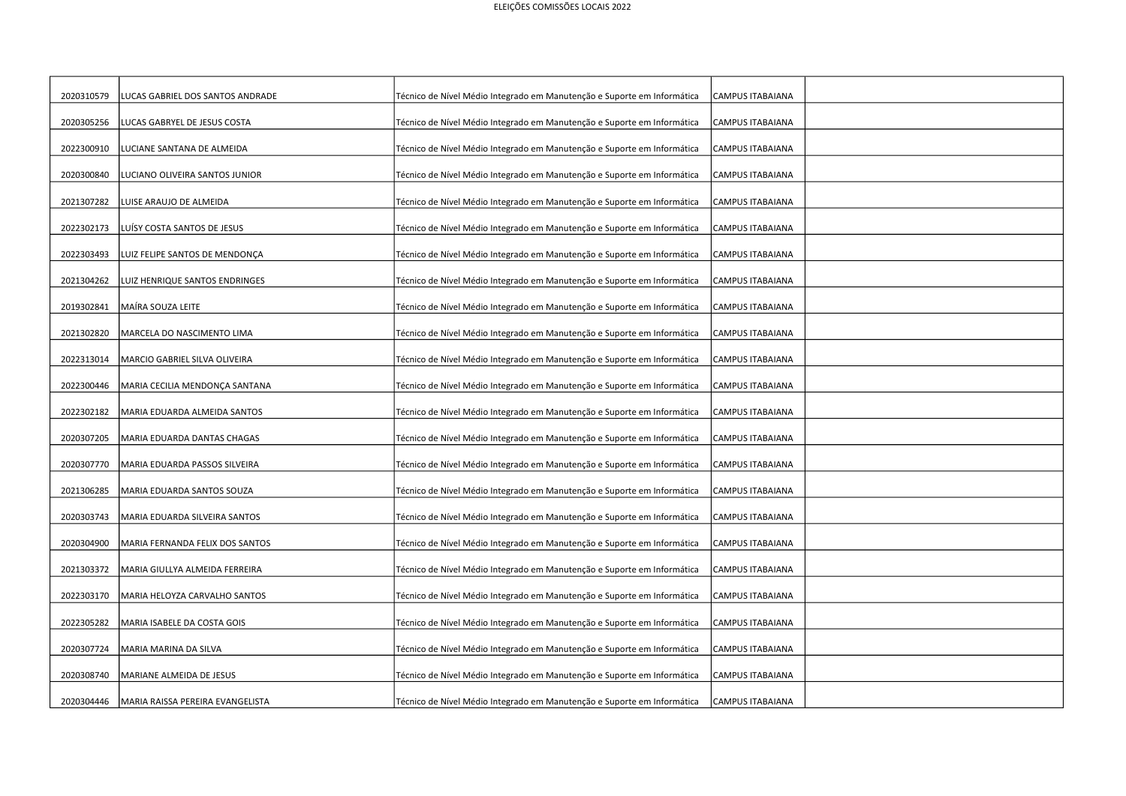| 2020310579 | UCAS GABRIEL DOS SANTOS ANDRADE  | Técnico de Nível Médio Integrado em Manutenção e Suporte em Informática | CAMPUS ITABAIANA        |  |
|------------|----------------------------------|-------------------------------------------------------------------------|-------------------------|--|
| 2020305256 | LUCAS GABRYEL DE JESUS COSTA     | Técnico de Nível Médio Integrado em Manutenção e Suporte em Informática | CAMPUS ITABAIANA        |  |
| 2022300910 | LUCIANE SANTANA DE ALMEIDA       | Técnico de Nível Médio Integrado em Manutenção e Suporte em Informática | CAMPUS ITABAIANA        |  |
| 2020300840 | LUCIANO OLIVEIRA SANTOS JUNIOR   | Técnico de Nível Médio Integrado em Manutenção e Suporte em Informática | <b>CAMPUS ITABAIANA</b> |  |
| 2021307282 | LUISE ARAUJO DE ALMEIDA          | Técnico de Nível Médio Integrado em Manutenção e Suporte em Informática | CAMPUS ITABAIANA        |  |
| 2022302173 | LUÍSY COSTA SANTOS DE JESUS      | Técnico de Nível Médio Integrado em Manutenção e Suporte em Informática | CAMPUS ITABAIANA        |  |
| 2022303493 | LUIZ FELIPE SANTOS DE MENDONÇA   | Técnico de Nível Médio Integrado em Manutenção e Suporte em Informática | CAMPUS ITABAIANA        |  |
| 2021304262 | LUIZ HENRIQUE SANTOS ENDRINGES   | Técnico de Nível Médio Integrado em Manutenção e Suporte em Informática | CAMPUS ITABAIANA        |  |
| 2019302841 | MAÍRA SOUZA LEITE                | Técnico de Nível Médio Integrado em Manutenção e Suporte em Informática | CAMPUS ITABAIANA        |  |
| 2021302820 | MARCELA DO NASCIMENTO LIMA       | Técnico de Nível Médio Integrado em Manutenção e Suporte em Informática | CAMPUS ITABAIANA        |  |
| 2022313014 | MARCIO GABRIEL SILVA OLIVEIRA    | Técnico de Nível Médio Integrado em Manutenção e Suporte em Informática | CAMPUS ITABAIANA        |  |
| 2022300446 | MARIA CECILIA MENDONÇA SANTANA   | Técnico de Nível Médio Integrado em Manutenção e Suporte em Informática | CAMPUS ITABAIANA        |  |
| 2022302182 | MARIA EDUARDA ALMEIDA SANTOS     | Técnico de Nível Médio Integrado em Manutenção e Suporte em Informática | <b>CAMPUS ITABAIANA</b> |  |
| 2020307205 | MARIA EDUARDA DANTAS CHAGAS      | Técnico de Nível Médio Integrado em Manutenção e Suporte em Informática | <b>CAMPUS ITABAIANA</b> |  |
| 2020307770 | MARIA EDUARDA PASSOS SILVEIRA    | Técnico de Nível Médio Integrado em Manutenção e Suporte em Informática | CAMPUS ITABAIANA        |  |
| 2021306285 | MARIA EDUARDA SANTOS SOUZA       | Técnico de Nível Médio Integrado em Manutenção e Suporte em Informática | CAMPUS ITABAIANA        |  |
| 2020303743 | MARIA EDUARDA SILVEIRA SANTOS    | Técnico de Nível Médio Integrado em Manutenção e Suporte em Informática | CAMPUS ITABAIANA        |  |
| 2020304900 | MARIA FERNANDA FELIX DOS SANTOS  | Técnico de Nível Médio Integrado em Manutenção e Suporte em Informática | <b>CAMPUS ITABAIANA</b> |  |
| 2021303372 | MARIA GIULLYA ALMEIDA FERREIRA   | Técnico de Nível Médio Integrado em Manutenção e Suporte em Informática | CAMPUS ITABAIANA        |  |
| 2022303170 | MARIA HELOYZA CARVALHO SANTOS    | Técnico de Nível Médio Integrado em Manutenção e Suporte em Informática | CAMPUS ITABAIANA        |  |
| 2022305282 | MARIA ISABELE DA COSTA GOIS      | Técnico de Nível Médio Integrado em Manutenção e Suporte em Informática | <b>CAMPUS ITABAIANA</b> |  |
| 2020307724 | MARIA MARINA DA SILVA            | Técnico de Nível Médio Integrado em Manutenção e Suporte em Informática | <b>CAMPUS ITABAIANA</b> |  |
| 2020308740 | MARIANE ALMEIDA DE JESUS         | Técnico de Nível Médio Integrado em Manutenção e Suporte em Informática | CAMPUS ITABAIANA        |  |
| 2020304446 | MARIA RAISSA PEREIRA EVANGELISTA | Técnico de Nível Médio Integrado em Manutenção e Suporte em Informática | CAMPUS ITABAIANA        |  |
|            |                                  |                                                                         |                         |  |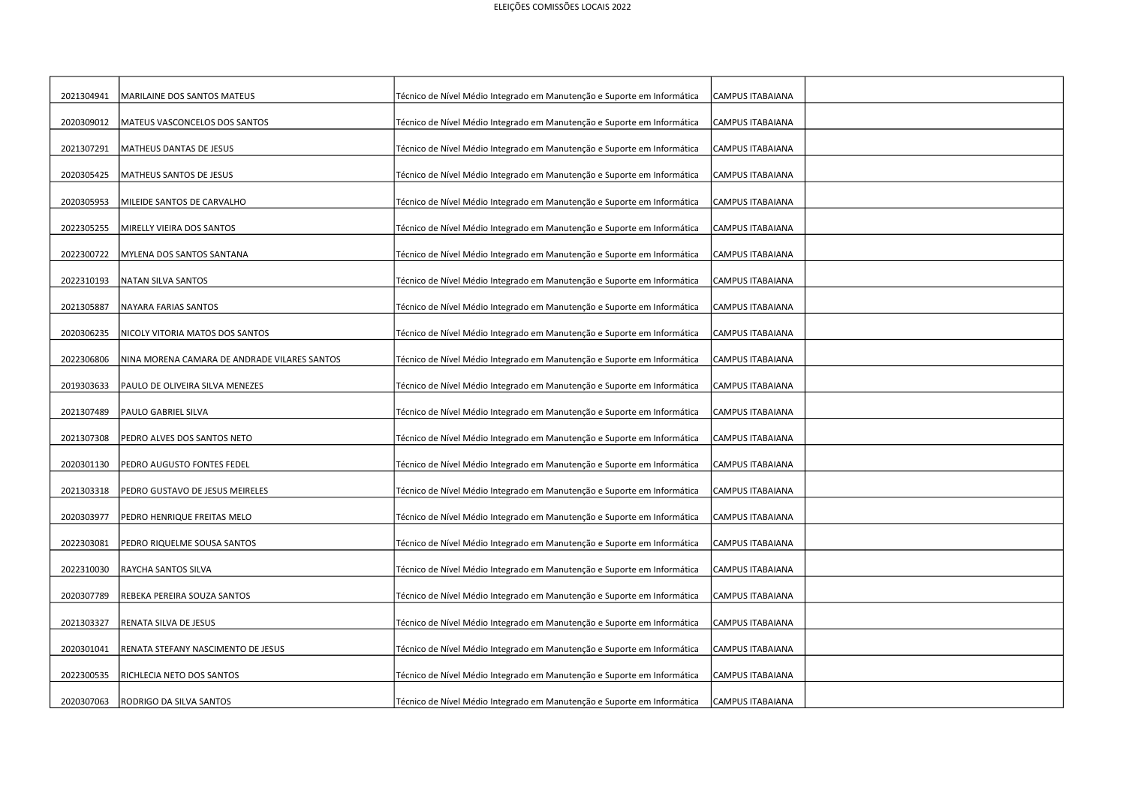| 2021304941 | MARILAINE DOS SANTOS MATEUS                  | Técnico de Nível Médio Integrado em Manutenção e Suporte em Informática | CAMPUS ITABAIANA        |  |
|------------|----------------------------------------------|-------------------------------------------------------------------------|-------------------------|--|
| 2020309012 | MATEUS VASCONCELOS DOS SANTOS                | Técnico de Nível Médio Integrado em Manutenção e Suporte em Informática | CAMPUS ITABAIANA        |  |
| 2021307291 | MATHEUS DANTAS DE JESUS                      | Técnico de Nível Médio Integrado em Manutenção e Suporte em Informática | CAMPUS ITABAIANA        |  |
| 2020305425 | MATHEUS SANTOS DE JESUS                      | Técnico de Nível Médio Integrado em Manutenção e Suporte em Informática | <b>CAMPUS ITABAIANA</b> |  |
| 2020305953 | MILEIDE SANTOS DE CARVALHO                   | Técnico de Nível Médio Integrado em Manutenção e Suporte em Informática | CAMPUS ITABAIANA        |  |
| 2022305255 | MIRELLY VIEIRA DOS SANTOS                    | Técnico de Nível Médio Integrado em Manutenção e Suporte em Informática | CAMPUS ITABAIANA        |  |
| 2022300722 | MYLENA DOS SANTOS SANTANA                    | Técnico de Nível Médio Integrado em Manutenção e Suporte em Informática | CAMPUS ITABAIANA        |  |
| 2022310193 | NATAN SILVA SANTOS                           | Técnico de Nível Médio Integrado em Manutenção e Suporte em Informática | CAMPUS ITABAIANA        |  |
| 2021305887 | NAYARA FARIAS SANTOS                         | Técnico de Nível Médio Integrado em Manutenção e Suporte em Informática | CAMPUS ITABAIANA        |  |
| 2020306235 | NICOLY VITORIA MATOS DOS SANTOS              | Técnico de Nível Médio Integrado em Manutenção e Suporte em Informática | CAMPUS ITABAIANA        |  |
| 2022306806 | NINA MORENA CAMARA DE ANDRADE VILARES SANTOS | Técnico de Nível Médio Integrado em Manutenção e Suporte em Informática | CAMPUS ITABAIANA        |  |
| 2019303633 | PAULO DE OLIVEIRA SILVA MENEZES              | Técnico de Nível Médio Integrado em Manutenção e Suporte em Informática | CAMPUS ITABAIANA        |  |
| 2021307489 | PAULO GABRIEL SILVA                          | Técnico de Nível Médio Integrado em Manutenção e Suporte em Informática | <b>CAMPUS ITABAIANA</b> |  |
| 2021307308 | PEDRO ALVES DOS SANTOS NETO                  | Técnico de Nível Médio Integrado em Manutenção e Suporte em Informática | <b>CAMPUS ITABAIANA</b> |  |
| 2020301130 | PEDRO AUGUSTO FONTES FEDEL                   | Técnico de Nível Médio Integrado em Manutenção e Suporte em Informática | <b>CAMPUS ITABAIANA</b> |  |
| 2021303318 | PEDRO GUSTAVO DE JESUS MEIRELES              | Técnico de Nível Médio Integrado em Manutenção e Suporte em Informática | CAMPUS ITABAIANA        |  |
| 2020303977 | PEDRO HENRIQUE FREITAS MELO                  | Técnico de Nível Médio Integrado em Manutenção e Suporte em Informática | CAMPUS ITABAIANA        |  |
| 2022303081 | PEDRO RIQUELME SOUSA SANTOS                  | Técnico de Nível Médio Integrado em Manutenção e Suporte em Informática | <b>CAMPUS ITABAIANA</b> |  |
| 2022310030 |                                              |                                                                         |                         |  |
|            | RAYCHA SANTOS SILVA                          | Técnico de Nível Médio Integrado em Manutenção e Suporte em Informática | CAMPUS ITABAIANA        |  |
| 2020307789 | REBEKA PEREIRA SOUZA SANTOS                  | Técnico de Nível Médio Integrado em Manutenção e Suporte em Informática | CAMPUS ITABAIANA        |  |
| 2021303327 | RENATA SILVA DE JESUS                        | Técnico de Nível Médio Integrado em Manutenção e Suporte em Informática | CAMPUS ITABAIANA        |  |
| 2020301041 | RENATA STEFANY NASCIMENTO DE JESUS           | Técnico de Nível Médio Integrado em Manutenção e Suporte em Informática | <b>CAMPUS ITABAIANA</b> |  |
| 2022300535 | RICHLECIA NETO DOS SANTOS                    | Técnico de Nível Médio Integrado em Manutenção e Suporte em Informática | <b>CAMPUS ITABAIANA</b> |  |
| 2020307063 | RODRIGO DA SILVA SANTOS                      | Técnico de Nível Médio Integrado em Manutenção e Suporte em Informática | CAMPUS ITABAIANA        |  |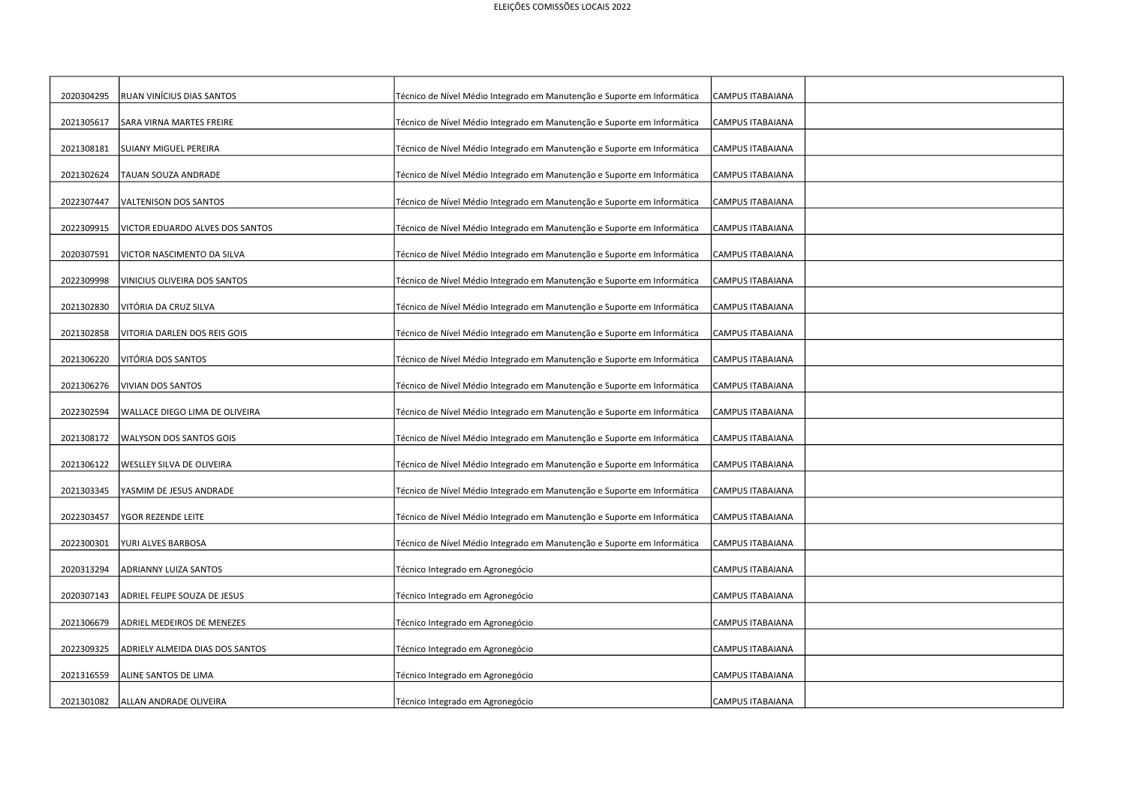| 2020304295 | RUAN VINÍCIUS DIAS SANTOS       | Técnico de Nível Médio Integrado em Manutenção e Suporte em Informática | CAMPUS ITABAIANA        |  |
|------------|---------------------------------|-------------------------------------------------------------------------|-------------------------|--|
| 2021305617 | SARA VIRNA MARTES FREIRE        | Técnico de Nível Médio Integrado em Manutenção e Suporte em Informática | CAMPUS ITABAIANA        |  |
| 2021308181 | <b>SUIANY MIGUEL PEREIRA</b>    | Técnico de Nível Médio Integrado em Manutenção e Suporte em Informática | CAMPUS ITABAIANA        |  |
| 2021302624 | TAUAN SOUZA ANDRADE             | Técnico de Nível Médio Integrado em Manutenção e Suporte em Informática | <b>CAMPUS ITABAIANA</b> |  |
| 2022307447 | VALTENISON DOS SANTOS           | Técnico de Nível Médio Integrado em Manutenção e Suporte em Informática | CAMPUS ITABAIANA        |  |
| 2022309915 | VICTOR EDUARDO ALVES DOS SANTOS | Técnico de Nível Médio Integrado em Manutenção e Suporte em Informática | CAMPUS ITABAIANA        |  |
| 2020307591 | VICTOR NASCIMENTO DA SILVA      | Técnico de Nível Médio Integrado em Manutenção e Suporte em Informática | CAMPUS ITABAIANA        |  |
| 2022309998 | VINICIUS OLIVEIRA DOS SANTOS    | Técnico de Nível Médio Integrado em Manutenção e Suporte em Informática | CAMPUS ITABAIANA        |  |
| 2021302830 | VITÓRIA DA CRUZ SILVA           | Técnico de Nível Médio Integrado em Manutenção e Suporte em Informática | CAMPUS ITABAIANA        |  |
| 2021302858 | VITORIA DARLEN DOS REIS GOIS    | Técnico de Nível Médio Integrado em Manutenção e Suporte em Informática | CAMPUS ITABAIANA        |  |
| 2021306220 | VITÓRIA DOS SANTOS              | Técnico de Nível Médio Integrado em Manutenção e Suporte em Informática | CAMPUS ITABAIANA        |  |
| 2021306276 | <b>VIVIAN DOS SANTOS</b>        | Técnico de Nível Médio Integrado em Manutenção e Suporte em Informática | CAMPUS ITABAIANA        |  |
| 2022302594 | WALLACE DIEGO LIMA DE OLIVEIRA  | Técnico de Nível Médio Integrado em Manutenção e Suporte em Informática | CAMPUS ITABAIANA        |  |
| 2021308172 | WALYSON DOS SANTOS GOIS         | Técnico de Nível Médio Integrado em Manutenção e Suporte em Informática | CAMPUS ITABAIANA        |  |
| 2021306122 | WESLLEY SILVA DE OLIVEIRA       | Técnico de Nível Médio Integrado em Manutenção e Suporte em Informática | CAMPUS ITABAIANA        |  |
| 2021303345 | YASMIM DE JESUS ANDRADE         | Técnico de Nível Médio Integrado em Manutenção e Suporte em Informática | CAMPUS ITABAIANA        |  |
| 2022303457 | <b>GOR REZENDE LEITE</b>        | Técnico de Nível Médio Integrado em Manutenção e Suporte em Informática | CAMPUS ITABAIANA        |  |
| 2022300301 | YURI ALVES BARBOSA              | Técnico de Nível Médio Integrado em Manutenção e Suporte em Informática | CAMPUS ITABAIANA        |  |
| 2020313294 | ADRIANNY LUIZA SANTOS           | Técnico Integrado em Agronegócio                                        | <b>CAMPUS ITABAIANA</b> |  |
| 2020307143 | ADRIEL FELIPE SOUZA DE JESUS    | Técnico Integrado em Agronegócio                                        | CAMPUS ITABAIANA        |  |
| 2021306679 | ADRIEL MEDEIROS DE MENEZES      | Técnico Integrado em Agronegócio                                        | CAMPUS ITABAIANA        |  |
| 2022309325 | ADRIELY ALMEIDA DIAS DOS SANTOS | Técnico Integrado em Agronegócio                                        | <b>CAMPUS ITABAIANA</b> |  |
| 2021316559 | ALINE SANTOS DE LIMA            | Técnico Integrado em Agronegócio                                        | CAMPUS ITABAIANA        |  |
| 2021301082 | ALLAN ANDRADE OLIVEIRA          | Técnico Integrado em Agronegócio                                        | CAMPUS ITABAIANA        |  |
|            |                                 |                                                                         |                         |  |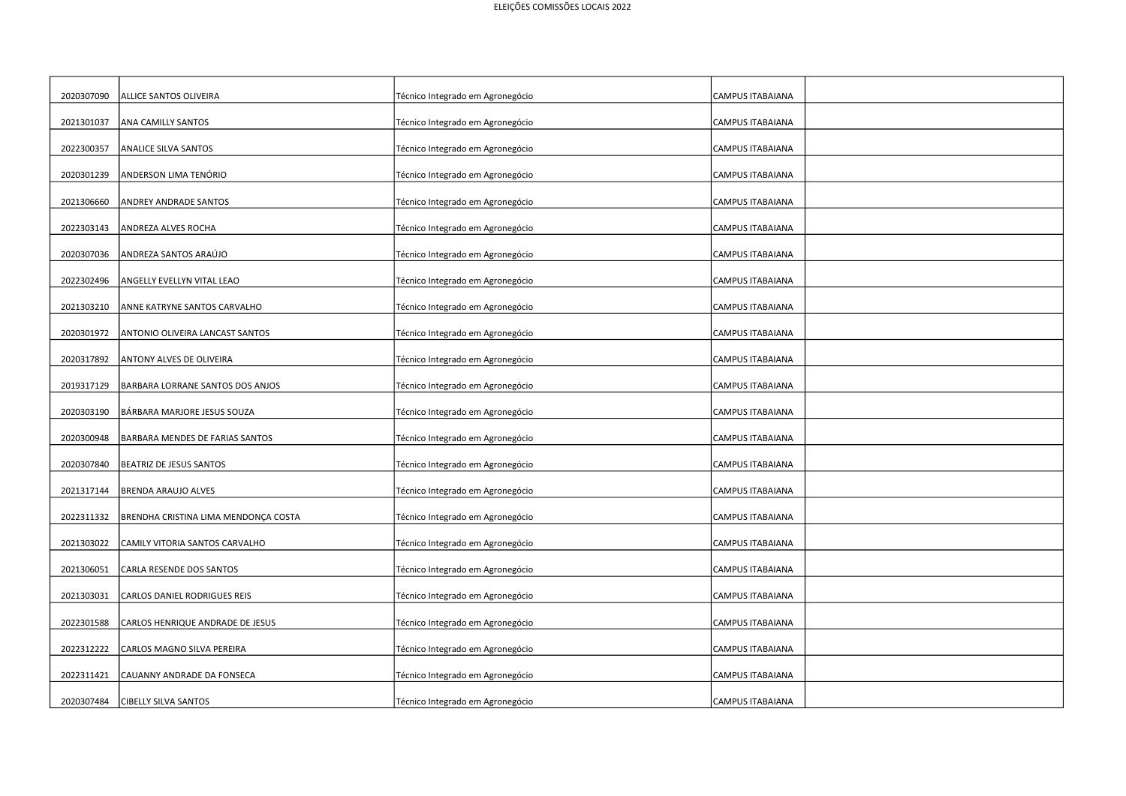| 2020307090 | ALLICE SANTOS OLIVEIRA               | Técnico Integrado em Agronegócio | <b>CAMPUS ITABAIANA</b> |
|------------|--------------------------------------|----------------------------------|-------------------------|
| 2021301037 | ANA CAMILLY SANTOS                   | Técnico Integrado em Agronegócio | CAMPUS ITABAIANA        |
| 2022300357 | ANALICE SILVA SANTOS                 | Técnico Integrado em Agronegócio | <b>CAMPUS ITABAIANA</b> |
| 2020301239 | ANDERSON LIMA TENÓRIO                | Técnico Integrado em Agronegócio | <b>CAMPUS ITABAIANA</b> |
| 2021306660 | <b>ANDREY ANDRADE SANTOS</b>         | Técnico Integrado em Agronegócio | <b>CAMPUS ITABAIANA</b> |
| 2022303143 | ANDREZA ALVES ROCHA                  | Técnico Integrado em Agronegócio | <b>CAMPUS ITABAIANA</b> |
| 2020307036 | ANDREZA SANTOS ARAÚJO                | Técnico Integrado em Agronegócio | <b>CAMPUS ITABAIANA</b> |
| 2022302496 | ANGELLY EVELLYN VITAL LEAO           | Técnico Integrado em Agronegócio | <b>CAMPUS ITABAIANA</b> |
| 2021303210 | ANNE KATRYNE SANTOS CARVALHO         | Técnico Integrado em Agronegócio | CAMPUS ITABAIANA        |
| 2020301972 | ANTONIO OLIVEIRA LANCAST SANTOS      | Técnico Integrado em Agronegócio | <b>CAMPUS ITABAIANA</b> |
| 2020317892 | <b>ANTONY ALVES DE OLIVEIRA</b>      | Técnico Integrado em Agronegócio | <b>CAMPUS ITABAIANA</b> |
| 2019317129 | BARBARA LORRANE SANTOS DOS ANJOS     | Técnico Integrado em Agronegócio | <b>CAMPUS ITABAIANA</b> |
| 2020303190 | BÁRBARA MARJORE JESUS SOUZA          | Técnico Integrado em Agronegócio | <b>CAMPUS ITABAIANA</b> |
| 2020300948 | BARBARA MENDES DE FARIAS SANTOS      | Técnico Integrado em Agronegócio | <b>CAMPUS ITABAIANA</b> |
| 2020307840 | BEATRIZ DE JESUS SANTOS              | Técnico Integrado em Agronegócio | <b>CAMPUS ITABAIANA</b> |
| 2021317144 | <b>BRENDA ARAUJO ALVES</b>           | Técnico Integrado em Agronegócio | <b>CAMPUS ITABAIANA</b> |
| 2022311332 | BRENDHA CRISTINA LIMA MENDONÇA COSTA | Técnico Integrado em Agronegócio | <b>CAMPUS ITABAIANA</b> |
| 2021303022 | CAMILY VITORIA SANTOS CARVALHO       | Técnico Integrado em Agronegócio | <b>CAMPUS ITABAIANA</b> |
| 2021306051 | CARLA RESENDE DOS SANTOS             | Técnico Integrado em Agronegócio | <b>CAMPUS ITABAIANA</b> |
| 2021303031 | CARLOS DANIEL RODRIGUES REIS         | Técnico Integrado em Agronegócio | CAMPUS ITABAIANA        |
| 2022301588 | CARLOS HENRIQUE ANDRADE DE JESUS     | Técnico Integrado em Agronegócio | <b>CAMPUS ITABAIANA</b> |
| 2022312222 | CARLOS MAGNO SILVA PEREIRA           | Técnico Integrado em Agronegócio | <b>CAMPUS ITABAIANA</b> |
| 2022311421 | CAUANNY ANDRADE DA FONSECA           | Técnico Integrado em Agronegócio | CAMPUS ITABAIANA        |
| 2020307484 | <b>CIBELLY SILVA SANTOS</b>          | Técnico Integrado em Agronegócio | <b>CAMPUS ITABAIANA</b> |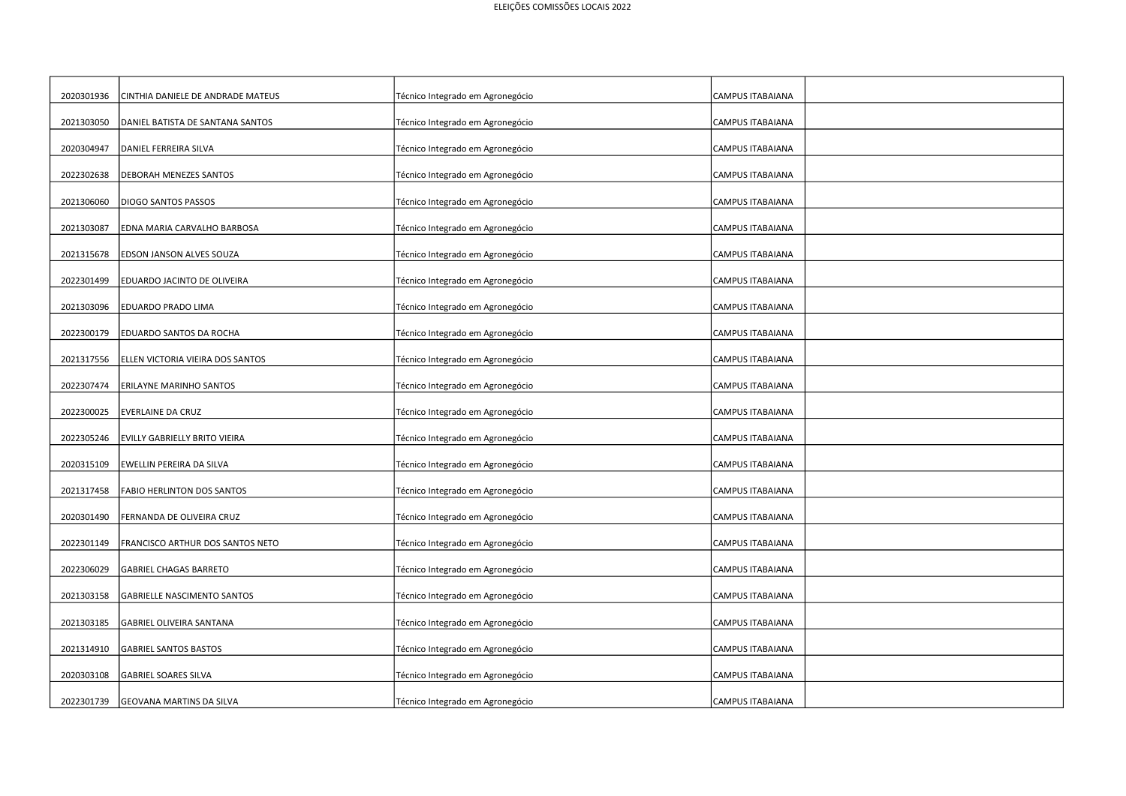| 2020301936 | CINTHIA DANIELE DE ANDRADE MATEUS  |                                  | CAMPUS ITABAIANA        |
|------------|------------------------------------|----------------------------------|-------------------------|
|            |                                    | Técnico Integrado em Agronegócio |                         |
| 2021303050 | DANIEL BATISTA DE SANTANA SANTOS   | Técnico Integrado em Agronegócio | <b>CAMPUS ITABAIANA</b> |
| 2020304947 | DANIEL FERREIRA SILVA              | Técnico Integrado em Agronegócio | CAMPUS ITABAIANA        |
|            |                                    |                                  |                         |
| 2022302638 | DEBORAH MENEZES SANTOS             | Técnico Integrado em Agronegócio | CAMPUS ITABAIANA        |
| 2021306060 | DIOGO SANTOS PASSOS                | Técnico Integrado em Agronegócio | CAMPUS ITABAIANA        |
|            |                                    |                                  |                         |
| 2021303087 | EDNA MARIA CARVALHO BARBOSA        | Técnico Integrado em Agronegócio | <b>CAMPUS ITABAIANA</b> |
| 2021315678 | EDSON JANSON ALVES SOUZA           | Técnico Integrado em Agronegócio | CAMPUS ITABAIANA        |
| 2022301499 | EDUARDO JACINTO DE OLIVEIRA        | Técnico Integrado em Agronegócio | CAMPUS ITABAIANA        |
|            |                                    |                                  |                         |
| 2021303096 | EDUARDO PRADO LIMA                 | Técnico Integrado em Agronegócio | CAMPUS ITABAIANA        |
| 2022300179 | EDUARDO SANTOS DA ROCHA            | Técnico Integrado em Agronegócio | CAMPUS ITABAIANA        |
|            |                                    |                                  |                         |
| 2021317556 | ELLEN VICTORIA VIEIRA DOS SANTOS   | Técnico Integrado em Agronegócio | CAMPUS ITABAIANA        |
| 2022307474 | ERILAYNE MARINHO SANTOS            | Técnico Integrado em Agronegócio | CAMPUS ITABAIANA        |
|            |                                    |                                  |                         |
| 2022300025 | EVERLAINE DA CRUZ                  | Técnico Integrado em Agronegócio | CAMPUS ITABAIANA        |
| 2022305246 | EVILLY GABRIELLY BRITO VIEIRA      | Técnico Integrado em Agronegócio | CAMPUS ITABAIANA        |
| 2020315109 | EWELLIN PEREIRA DA SILVA           | Técnico Integrado em Agronegócio | CAMPUS ITABAIANA        |
|            |                                    |                                  |                         |
| 2021317458 | FABIO HERLINTON DOS SANTOS         | Técnico Integrado em Agronegócio | CAMPUS ITABAIANA        |
| 2020301490 | ERNANDA DE OLIVEIRA CRUZ           | Técnico Integrado em Agronegócio | CAMPUS ITABAIANA        |
|            |                                    |                                  |                         |
| 2022301149 | FRANCISCO ARTHUR DOS SANTOS NETO   | Técnico Integrado em Agronegócio | CAMPUS ITABAIANA        |
| 2022306029 | <b>GABRIEL CHAGAS BARRETO</b>      | Técnico Integrado em Agronegócio | <b>CAMPUS ITABAIANA</b> |
|            |                                    |                                  |                         |
| 2021303158 | <b>GABRIELLE NASCIMENTO SANTOS</b> | Técnico Integrado em Agronegócio | CAMPUS ITABAIANA        |
| 2021303185 | GABRIEL OLIVEIRA SANTANA           | Técnico Integrado em Agronegócio | CAMPUS ITABAIANA        |
| 2021314910 | <b>GABRIEL SANTOS BASTOS</b>       | Técnico Integrado em Agronegócio | CAMPUS ITABAIANA        |
|            |                                    |                                  |                         |
| 2020303108 | <b>GABRIEL SOARES SILVA</b>        | Técnico Integrado em Agronegócio | <b>CAMPUS ITABAIANA</b> |
| 2022301739 | <b>GEOVANA MARTINS DA SILVA</b>    | Técnico Integrado em Agronegócio | CAMPUS ITABAIANA        |
|            |                                    |                                  |                         |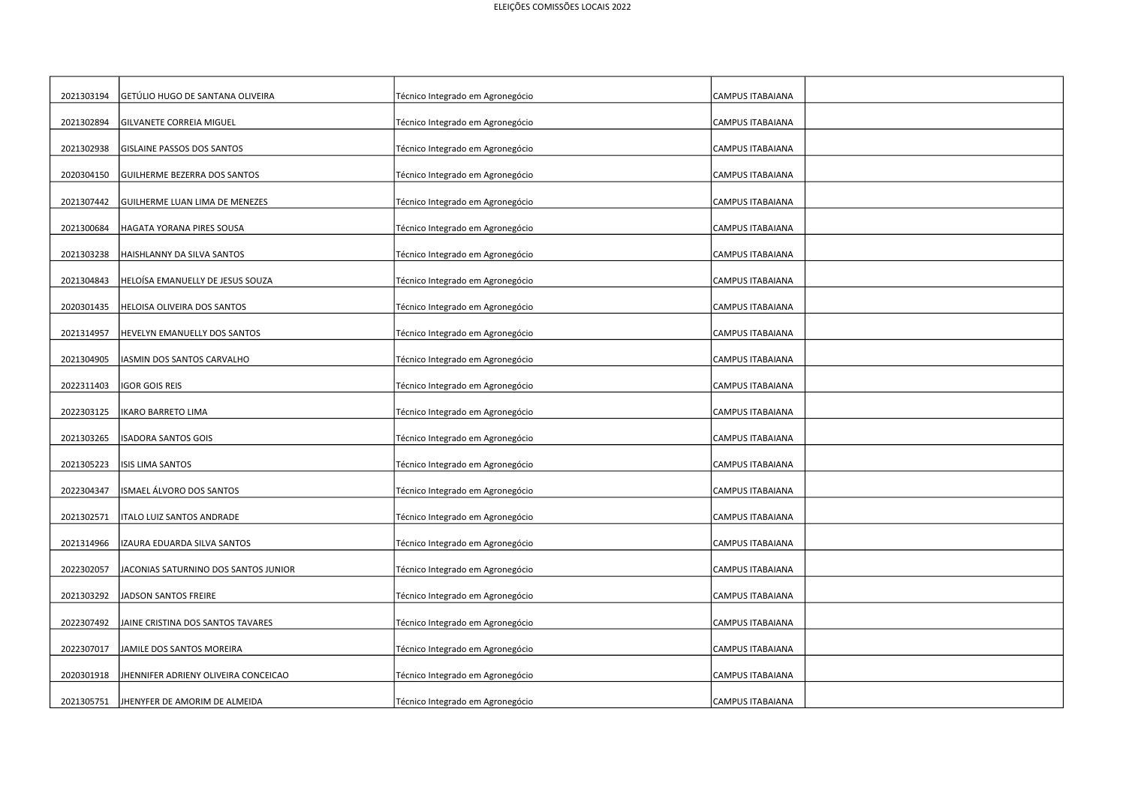| 2021303194 | GETÚLIO HUGO DE SANTANA OLIVEIRA     | Técnico Integrado em Agronegócio | CAMPUS ITABAIANA        |
|------------|--------------------------------------|----------------------------------|-------------------------|
| 2021302894 | GILVANETE CORREIA MIGUEL             | Técnico Integrado em Agronegócio | <b>CAMPUS ITABAIANA</b> |
|            |                                      |                                  |                         |
| 2021302938 | GISLAINE PASSOS DOS SANTOS           | Técnico Integrado em Agronegócio | CAMPUS ITABAIANA        |
| 2020304150 | GUILHERME BEZERRA DOS SANTOS         | Técnico Integrado em Agronegócio | CAMPUS ITABAIANA        |
|            |                                      |                                  |                         |
| 2021307442 | GUILHERME LUAN LIMA DE MENEZES       | Técnico Integrado em Agronegócio | CAMPUS ITABAIANA        |
| 2021300684 | HAGATA YORANA PIRES SOUSA            | Técnico Integrado em Agronegócio | CAMPUS ITABAIANA        |
|            |                                      |                                  |                         |
| 2021303238 | HAISHLANNY DA SILVA SANTOS           | Técnico Integrado em Agronegócio | CAMPUS ITABAIANA        |
| 2021304843 | HELOÍSA EMANUELLY DE JESUS SOUZA     | Técnico Integrado em Agronegócio | <b>CAMPUS ITABAIANA</b> |
|            |                                      |                                  |                         |
| 2020301435 | HELOISA OLIVEIRA DOS SANTOS          | Técnico Integrado em Agronegócio | CAMPUS ITABAIANA        |
| 2021314957 | <b>HEVELYN EMANUELLY DOS SANTOS</b>  | Técnico Integrado em Agronegócio | CAMPUS ITABAIANA        |
|            |                                      |                                  |                         |
| 2021304905 | IASMIN DOS SANTOS CARVALHO           | Técnico Integrado em Agronegócio | CAMPUS ITABAIANA        |
| 2022311403 | IGOR GOIS REIS                       |                                  |                         |
|            |                                      | Técnico Integrado em Agronegócio | CAMPUS ITABAIANA        |
| 2022303125 | IKARO BARRETO LIMA                   | Técnico Integrado em Agronegócio | CAMPUS ITABAIANA        |
|            |                                      |                                  |                         |
| 2021303265 | <b>ISADORA SANTOS GOIS</b>           | Técnico Integrado em Agronegócio | CAMPUS ITABAIANA        |
| 2021305223 | <b>ISIS LIMA SANTOS</b>              | Técnico Integrado em Agronegócio | CAMPUS ITABAIANA        |
|            |                                      |                                  |                         |
| 2022304347 | ISMAEL ÁLVORO DOS SANTOS             | Técnico Integrado em Agronegócio | CAMPUS ITABAIANA        |
| 2021302571 | ITALO LUIZ SANTOS ANDRADE            | Técnico Integrado em Agronegócio | CAMPUS ITABAIANA        |
|            |                                      |                                  |                         |
| 2021314966 | IZAURA EDUARDA SILVA SANTOS          | Técnico Integrado em Agronegócio | CAMPUS ITABAIANA        |
| 2022302057 | JACONIAS SATURNINO DOS SANTOS JUNIOR | Técnico Integrado em Agronegócio | <b>CAMPUS ITABAIANA</b> |
|            |                                      |                                  |                         |
| 2021303292 | JADSON SANTOS FREIRE                 | Técnico Integrado em Agronegócio | CAMPUS ITABAIANA        |
| 2022307492 | JAINE CRISTINA DOS SANTOS TAVARES    | Técnico Integrado em Agronegócio | CAMPUS ITABAIANA        |
|            |                                      |                                  |                         |
| 2022307017 | JAMILE DOS SANTOS MOREIRA            | Técnico Integrado em Agronegócio | CAMPUS ITABAIANA        |
|            |                                      |                                  |                         |
| 2020301918 | JHENNIFER ADRIENY OLIVEIRA CONCEICAO | Técnico Integrado em Agronegócio | CAMPUS ITABAIANA        |
| 2021305751 | JHENYFER DE AMORIM DE ALMEIDA        | Técnico Integrado em Agronegócio | CAMPUS ITABAIANA        |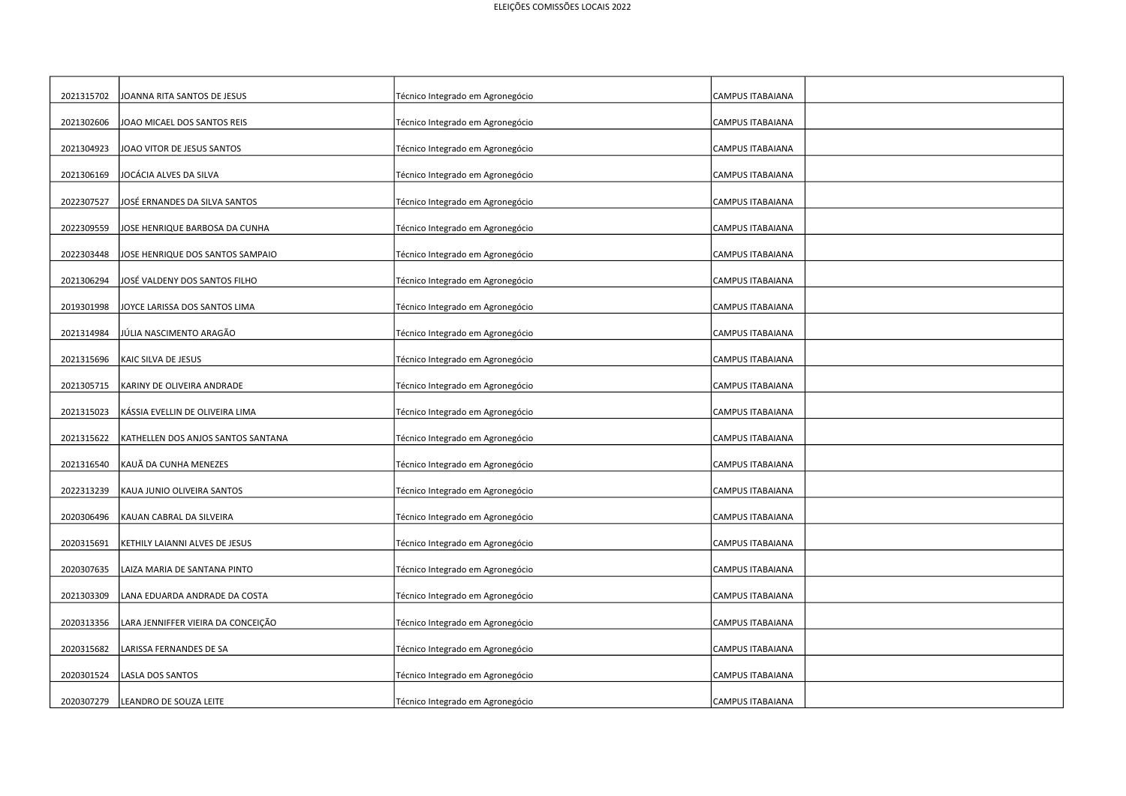| 2021315702 | JOANNA RITA SANTOS DE JESUS        | Técnico Integrado em Agronegócio | CAMPUS ITABAIANA        |
|------------|------------------------------------|----------------------------------|-------------------------|
| 2021302606 | JOAO MICAEL DOS SANTOS REIS        | Técnico Integrado em Agronegócio | <b>CAMPUS ITABAIANA</b> |
| 2021304923 | JOAO VITOR DE JESUS SANTOS         | Técnico Integrado em Agronegócio | <b>CAMPUS ITABAIANA</b> |
| 2021306169 | JOCÁCIA ALVES DA SILVA             | Técnico Integrado em Agronegócio | <b>CAMPUS ITABAIANA</b> |
| 2022307527 | JOSÉ ERNANDES DA SILVA SANTOS      | Técnico Integrado em Agronegócio | <b>CAMPUS ITABAIANA</b> |
| 2022309559 | JOSE HENRIQUE BARBOSA DA CUNHA     | Técnico Integrado em Agronegócio | <b>CAMPUS ITABAIANA</b> |
| 2022303448 |                                    |                                  |                         |
|            | JOSE HENRIQUE DOS SANTOS SAMPAIO   | Técnico Integrado em Agronegócio | <b>CAMPUS ITABAIANA</b> |
| 2021306294 | JOSÉ VALDENY DOS SANTOS FILHO      | Técnico Integrado em Agronegócio | <b>CAMPUS ITABAIANA</b> |
| 2019301998 | JOYCE LARISSA DOS SANTOS LIMA      | Técnico Integrado em Agronegócio | <b>CAMPUS ITABAIANA</b> |
| 2021314984 | JÚLIA NASCIMENTO ARAGÃO            | Técnico Integrado em Agronegócio | CAMPUS ITABAIANA        |
| 2021315696 | KAIC SILVA DE JESUS                | Técnico Integrado em Agronegócio | <b>CAMPUS ITABAIANA</b> |
| 2021305715 | KARINY DE OLIVEIRA ANDRADE         | Técnico Integrado em Agronegócio | <b>CAMPUS ITABAIANA</b> |
|            |                                    |                                  |                         |
| 2021315023 | KÁSSIA EVELLIN DE OLIVEIRA LIMA    | Técnico Integrado em Agronegócio | <b>CAMPUS ITABAIANA</b> |
| 2021315622 | KATHELLEN DOS ANJOS SANTOS SANTANA | Técnico Integrado em Agronegócio | <b>CAMPUS ITABAIANA</b> |
| 2021316540 | KAUÃ DA CUNHA MENEZES              | Técnico Integrado em Agronegócio | CAMPUS ITABAIANA        |
| 2022313239 | KAUA JUNIO OLIVEIRA SANTOS         | Técnico Integrado em Agronegócio | <b>CAMPUS ITABAIANA</b> |
|            |                                    |                                  |                         |
| 2020306496 | KAUAN CABRAL DA SILVEIRA           | Técnico Integrado em Agronegócio | <b>CAMPUS ITABAIANA</b> |
| 2020315691 | KETHILY LAIANNI ALVES DE JESUS     | Técnico Integrado em Agronegócio | <b>CAMPUS ITABAIANA</b> |
|            |                                    |                                  |                         |
| 2020307635 | LAIZA MARIA DE SANTANA PINTO       | Técnico Integrado em Agronegócio | CAMPUS ITABAIANA        |
| 2021303309 | LANA EDUARDA ANDRADE DA COSTA      | Técnico Integrado em Agronegócio | CAMPUS ITABAIANA        |
| 2020313356 | LARA JENNIFFER VIEIRA DA CONCEIÇÃO | Técnico Integrado em Agronegócio | <b>CAMPUS ITABAIANA</b> |
|            |                                    |                                  |                         |
| 2020315682 | LARISSA FERNANDES DE SA            | Técnico Integrado em Agronegócio | <b>CAMPUS ITABAIANA</b> |
| 2020301524 | LASLA DOS SANTOS                   | Técnico Integrado em Agronegócio | CAMPUS ITABAIANA        |
|            |                                    |                                  |                         |
| 2020307279 | LEANDRO DE SOUZA LEITE             | Técnico Integrado em Agronegócio | <b>CAMPUS ITABAIANA</b> |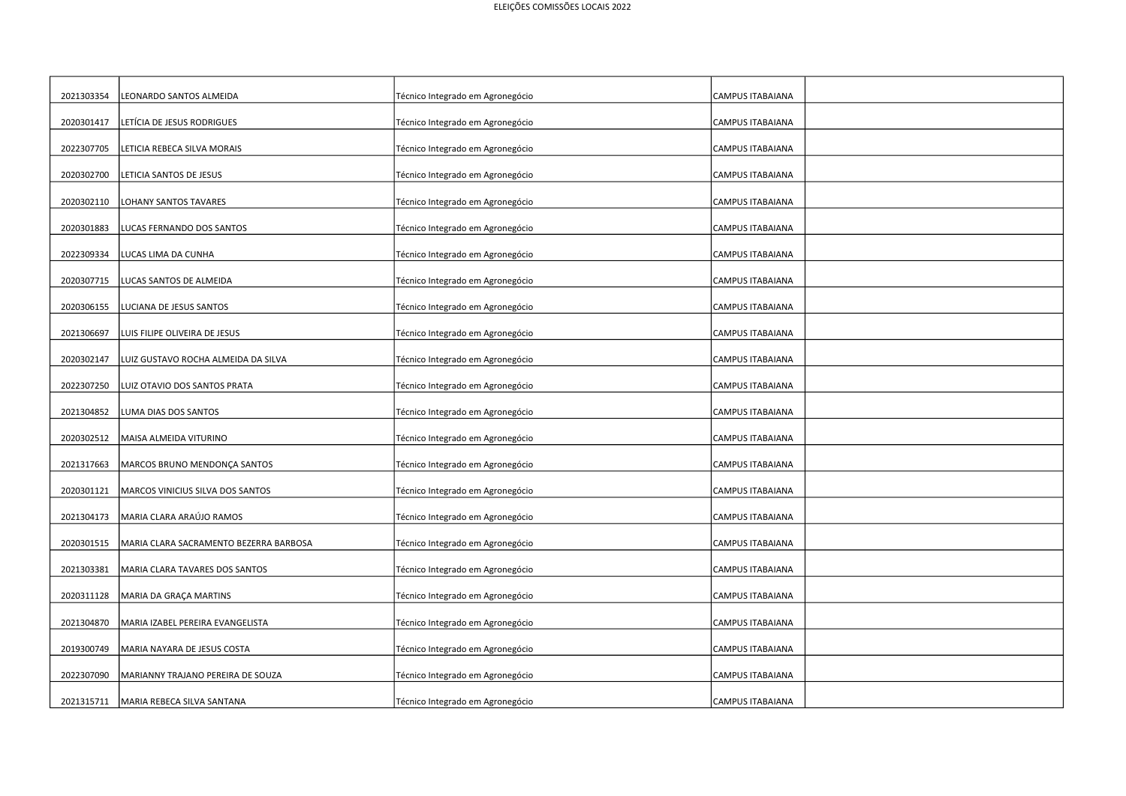| 2021303354 | EONARDO SANTOS ALMEIDA                 | Técnico Integrado em Agronegócio | CAMPUS ITABAIANA        |
|------------|----------------------------------------|----------------------------------|-------------------------|
| 2020301417 | LETÍCIA DE JESUS RODRIGUES             | Técnico Integrado em Agronegócio | CAMPUS ITABAIANA        |
| 2022307705 | ETICIA REBECA SILVA MORAIS             | Técnico Integrado em Agronegócio | <b>CAMPUS ITABAIANA</b> |
| 2020302700 | LETICIA SANTOS DE JESUS                | Técnico Integrado em Agronegócio | <b>CAMPUS ITABAIANA</b> |
| 2020302110 | OHANY SANTOS TAVARES                   | Técnico Integrado em Agronegócio | CAMPUS ITABAIANA        |
| 2020301883 | LUCAS FERNANDO DOS SANTOS              | Técnico Integrado em Agronegócio | CAMPUS ITABAIANA        |
| 2022309334 | LUCAS LIMA DA CUNHA                    | Técnico Integrado em Agronegócio | <b>CAMPUS ITABAIANA</b> |
| 2020307715 | LUCAS SANTOS DE ALMEIDA                | Técnico Integrado em Agronegócio | <b>CAMPUS ITABAIANA</b> |
| 2020306155 | LUCIANA DE JESUS SANTOS                | Técnico Integrado em Agronegócio | CAMPUS ITABAIANA        |
| 2021306697 | LUIS FILIPE OLIVEIRA DE JESUS          | Técnico Integrado em Agronegócio | CAMPUS ITABAIANA        |
| 2020302147 | LUIZ GUSTAVO ROCHA ALMEIDA DA SILVA    | Técnico Integrado em Agronegócio | <b>CAMPUS ITABAIANA</b> |
| 2022307250 | LUIZ OTAVIO DOS SANTOS PRATA           | Técnico Integrado em Agronegócio | <b>CAMPUS ITABAIANA</b> |
| 2021304852 | LUMA DIAS DOS SANTOS                   | Técnico Integrado em Agronegócio | <b>CAMPUS ITABAIANA</b> |
| 2020302512 | MAISA ALMEIDA VITURINO                 | Técnico Integrado em Agronegócio | <b>CAMPUS ITABAIANA</b> |
| 2021317663 | MARCOS BRUNO MENDONÇA SANTOS           | Técnico Integrado em Agronegócio | <b>CAMPUS ITABAIANA</b> |
| 2020301121 | MARCOS VINICIUS SILVA DOS SANTOS       | Técnico Integrado em Agronegócio | <b>CAMPUS ITABAIANA</b> |
| 2021304173 | MARIA CLARA ARAÚJO RAMOS               | Técnico Integrado em Agronegócio | CAMPUS ITABAIANA        |
| 2020301515 | MARIA CLARA SACRAMENTO BEZERRA BARBOSA | Técnico Integrado em Agronegócio | CAMPUS ITABAIANA        |
| 2021303381 | MARIA CLARA TAVARES DOS SANTOS         | Técnico Integrado em Agronegócio | CAMPUS ITABAIANA        |
| 2020311128 | MARIA DA GRAÇA MARTINS                 | Técnico Integrado em Agronegócio | CAMPUS ITABAIANA        |
| 2021304870 | MARIA IZABEL PEREIRA EVANGELISTA       | Técnico Integrado em Agronegócio | CAMPUS ITABAIANA        |
| 2019300749 | MARIA NAYARA DE JESUS COSTA            | Técnico Integrado em Agronegócio | <b>CAMPUS ITABAIANA</b> |
| 2022307090 | MARIANNY TRAJANO PEREIRA DE SOUZA      | Técnico Integrado em Agronegócio | CAMPUS ITABAIANA        |
| 2021315711 | MARIA REBECA SILVA SANTANA             | Técnico Integrado em Agronegócio | <b>CAMPUS ITABAIANA</b> |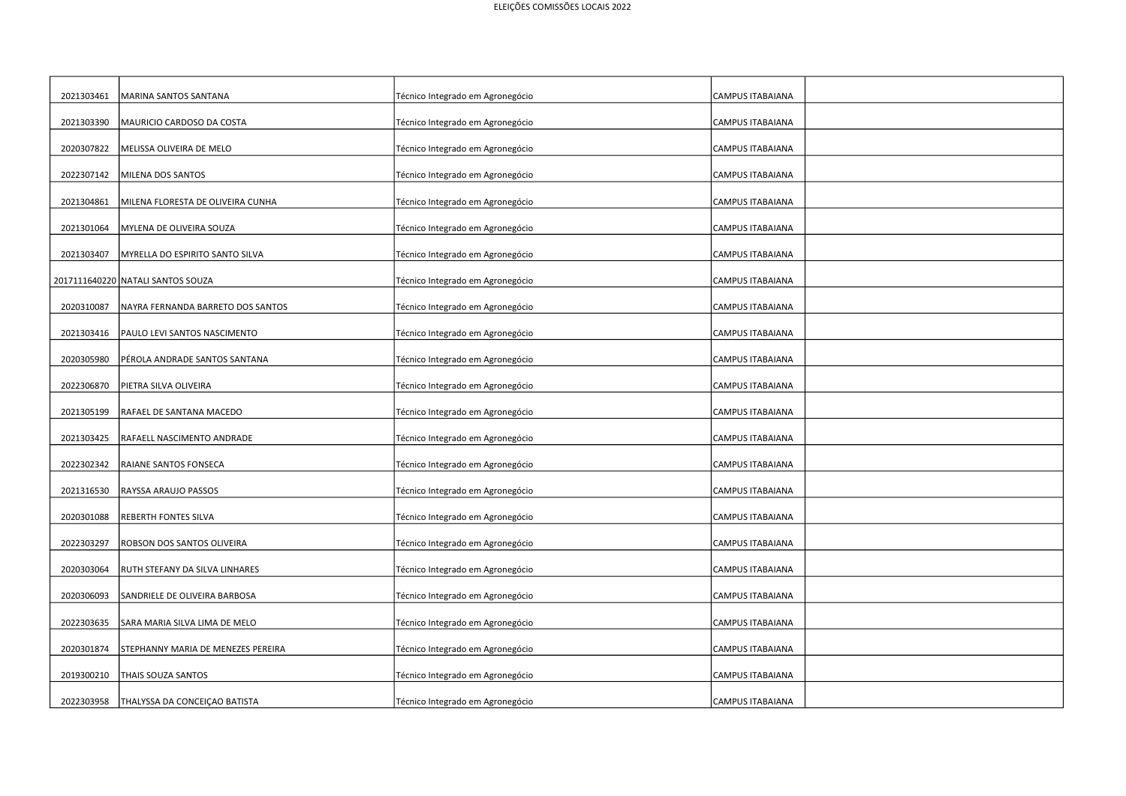| 2021303461 | MARINA SANTOS SANTANA              | Técnico Integrado em Agronegócio | CAMPUS ITABAIANA        |
|------------|------------------------------------|----------------------------------|-------------------------|
| 2021303390 | MAURICIO CARDOSO DA COSTA          | Técnico Integrado em Agronegócio | CAMPUS ITABAIANA        |
| 2020307822 | MELISSA OLIVEIRA DE MELO           | Técnico Integrado em Agronegócio | CAMPUS ITABAIANA        |
| 2022307142 | MILENA DOS SANTOS                  | Técnico Integrado em Agronegócio | CAMPUS ITABAIANA        |
| 2021304861 | MILENA FLORESTA DE OLIVEIRA CUNHA  | Técnico Integrado em Agronegócio | CAMPUS ITABAIANA        |
| 2021301064 | MYLENA DE OLIVEIRA SOUZA           | Técnico Integrado em Agronegócio | CAMPUS ITABAIANA        |
| 2021303407 | MYRELLA DO ESPIRITO SANTO SILVA    | Técnico Integrado em Agronegócio | <b>CAMPUS ITABAIANA</b> |
|            | 2017111640220 NATALI SANTOS SOUZA  | Técnico Integrado em Agronegócio | CAMPUS ITABAIANA        |
| 2020310087 | NAYRA FERNANDA BARRETO DOS SANTOS  | Técnico Integrado em Agronegócio | <b>CAMPUS ITABAIANA</b> |
| 2021303416 | PAULO LEVI SANTOS NASCIMENTO       | Técnico Integrado em Agronegócio | <b>CAMPUS ITABAIANA</b> |
| 2020305980 | PÉROLA ANDRADE SANTOS SANTANA      | Técnico Integrado em Agronegócio | <b>CAMPUS ITABAIANA</b> |
| 2022306870 | PIETRA SILVA OLIVEIRA              | Técnico Integrado em Agronegócio | CAMPUS ITABAIANA        |
| 2021305199 | RAFAEL DE SANTANA MACEDO           | Técnico Integrado em Agronegócio | <b>CAMPUS ITABAIANA</b> |
| 2021303425 | RAFAELL NASCIMENTO ANDRADE         | Técnico Integrado em Agronegócio | <b>CAMPUS ITABAIANA</b> |
| 2022302342 | RAIANE SANTOS FONSECA              | Técnico Integrado em Agronegócio | CAMPUS ITABAIANA        |
| 2021316530 | RAYSSA ARAUJO PASSOS               | Técnico Integrado em Agronegócio | <b>CAMPUS ITABAIANA</b> |
| 2020301088 | REBERTH FONTES SILVA               | Técnico Integrado em Agronegócio | CAMPUS ITABAIANA        |
| 2022303297 | ROBSON DOS SANTOS OLIVEIRA         | Técnico Integrado em Agronegócio | CAMPUS ITABAIANA        |
| 2020303064 | RUTH STEFANY DA SILVA LINHARES     | Técnico Integrado em Agronegócio | <b>CAMPUS ITABAIANA</b> |
| 2020306093 | SANDRIELE DE OLIVEIRA BARBOSA      | Técnico Integrado em Agronegócio | <b>CAMPUS ITABAIANA</b> |
| 2022303635 | SARA MARIA SILVA LIMA DE MELO      | Técnico Integrado em Agronegócio | <b>CAMPUS ITABAIANA</b> |
| 2020301874 | STEPHANNY MARIA DE MENEZES PEREIRA | Técnico Integrado em Agronegócio | <b>CAMPUS ITABAIANA</b> |
| 2019300210 | THAIS SOUZA SANTOS                 | Técnico Integrado em Agronegócio | <b>CAMPUS ITABAIANA</b> |
| 2022303958 | THALYSSA DA CONCEIÇAO BATISTA      | Técnico Integrado em Agronegócio | <b>CAMPUS ITABAIANA</b> |